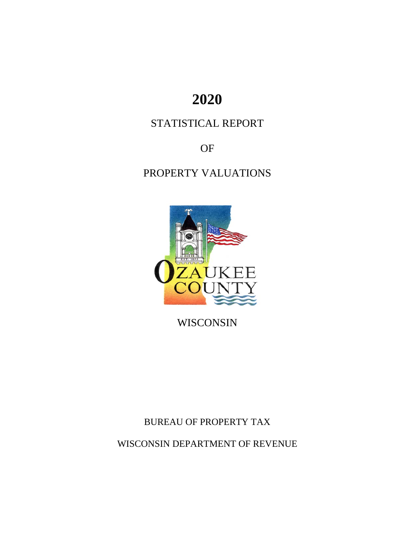# **2020**

## STATISTICAL REPORT

OF

PROPERTY VALUATIONS



WISCONSIN

BUREAU OF PROPERTY TAX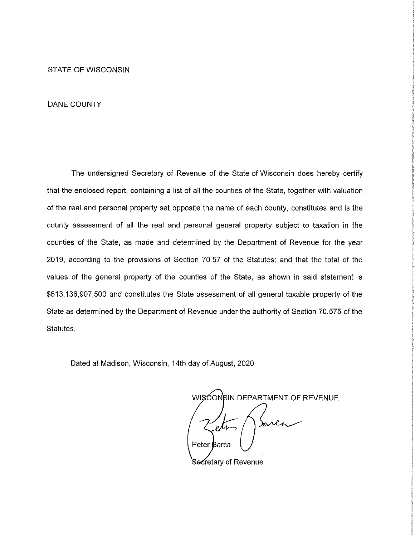**STATE OF WISCONSIN** 

#### **DANE COUNTY**

The undersigned Secretary of Revenue of the State of Wisconsin does hereby certify that the enclosed report, containing a list of all the counties of the State, together with valuation of the real and personal property set opposite the name of each county, constitutes and is the county assessment of all the real and personal general property subject to taxation in the counties of the State, as made and determined by the Department of Revenue for the year 2019, according to the provisions of Section 70.57 of the Statutes; and that the total of the values of the general property of the counties of the State, as shown in said statement is \$613,136,907,500 and constitutes the State assessment of all general taxable property of the State as determined by the Department of Revenue under the authority of Section 70.575 of the Statutes.

Dated at Madison, Wisconsin, 14th day of August, 2020

WISCONSIN DEPARTMENT OF REVENUE mrca  $\ell$ N $\sim$ Peter Barca

Secretary of Revenue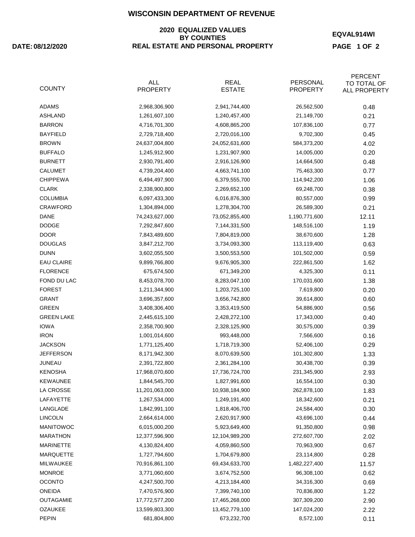#### **2020 EQUALIZED VALUES BY COUNTIES DATE: REAL ESTATE AND PERSONAL PROPERTY**

**EQVAL914WI**

**PAGE 1 OF 2**

| <b>COUNTY</b>     | <b>ALL</b><br><b>PROPERTY</b> | <b>REAL</b><br><b>ESTATE</b> | PERSONAL<br><b>PROPERTY</b> | <b>PERCENT</b><br>TO TOTAL OF<br>ALL PROPERTY |
|-------------------|-------------------------------|------------------------------|-----------------------------|-----------------------------------------------|
| <b>ADAMS</b>      | 2,968,306,900                 | 2,941,744,400                | 26,562,500                  | 0.48                                          |
| <b>ASHLAND</b>    | 1,261,607,100                 | 1,240,457,400                | 21,149,700                  | 0.21                                          |
| <b>BARRON</b>     | 4,716,701,300                 | 4,608,865,200                | 107,836,100                 | 0.77                                          |
| <b>BAYFIELD</b>   | 2,729,718,400                 | 2,720,016,100                | 9,702,300                   | 0.45                                          |
| <b>BROWN</b>      | 24,637,004,800                | 24,052,631,600               | 584,373,200                 | 4.02                                          |
| <b>BUFFALO</b>    | 1,245,912,900                 | 1,231,907,900                | 14,005,000                  | 0.20                                          |
| <b>BURNETT</b>    | 2,930,791,400                 | 2,916,126,900                | 14,664,500                  | 0.48                                          |
| <b>CALUMET</b>    | 4,739,204,400                 | 4,663,741,100                | 75,463,300                  | 0.77                                          |
| <b>CHIPPEWA</b>   | 6,494,497,900                 | 6,379,555,700                | 114,942,200                 | 1.06                                          |
| <b>CLARK</b>      | 2,338,900,800                 | 2,269,652,100                | 69,248,700                  | 0.38                                          |
| <b>COLUMBIA</b>   | 6,097,433,300                 | 6,016,876,300                | 80,557,000                  | 0.99                                          |
| CRAWFORD          | 1,304,894,000                 | 1,278,304,700                | 26,589,300                  | 0.21                                          |
| DANE              | 74,243,627,000                | 73,052,855,400               | 1,190,771,600               | 12.11                                         |
| <b>DODGE</b>      | 7,292,847,600                 | 7,144,331,500                | 148,516,100                 | 1.19                                          |
| <b>DOOR</b>       | 7,843,489,600                 | 7,804,819,000                | 38,670,600                  | 1.28                                          |
| <b>DOUGLAS</b>    | 3,847,212,700                 | 3,734,093,300                | 113,119,400                 | 0.63                                          |
| <b>DUNN</b>       | 3,602,055,500                 | 3,500,553,500                | 101,502,000                 | 0.59                                          |
| <b>EAU CLAIRE</b> | 9,899,766,800                 | 9,676,905,300                | 222,861,500                 | 1.62                                          |
| <b>FLORENCE</b>   | 675,674,500                   | 671,349,200                  | 4,325,300                   | 0.11                                          |
| FOND DU LAC       | 8,453,078,700                 | 8,283,047,100                | 170,031,600                 | 1.38                                          |
| <b>FOREST</b>     | 1,211,344,900                 | 1,203,725,100                | 7,619,800                   | 0.20                                          |
| GRANT             | 3,696,357,600                 | 3,656,742,800                | 39,614,800                  | 0.60                                          |
| <b>GREEN</b>      | 3,408,306,400                 | 3,353,419,500                | 54,886,900                  | 0.56                                          |
| <b>GREEN LAKE</b> | 2,445,615,100                 | 2,428,272,100                | 17,343,000                  | 0.40                                          |
| <b>IOWA</b>       | 2,358,700,900                 | 2,328,125,900                | 30,575,000                  | 0.39                                          |
| <b>IRON</b>       | 1,001,014,600                 | 993,448,000                  | 7,566,600                   | 0.16                                          |
| <b>JACKSON</b>    | 1,771,125,400                 | 1,718,719,300                | 52,406,100                  | 0.29                                          |
| <b>JEFFERSON</b>  | 8,171,942,300                 | 8,070,639,500                | 101,302,800                 | 1.33                                          |
| JUNEAU            | 2,391,722,800                 | 2,361,284,100                | 30,438,700                  | 0.39                                          |
| <b>KENOSHA</b>    | 17,968,070,600                | 17,736,724,700               | 231,345,900                 | 2.93                                          |
| <b>KEWAUNEE</b>   | 1,844,545,700                 | 1,827,991,600                | 16,554,100                  | 0.30                                          |
| LA CROSSE         | 11,201,063,000                | 10,938,184,900               | 262,878,100                 | 1.83                                          |
| LAFAYETTE         | 1,267,534,000                 | 1,249,191,400                | 18,342,600                  | 0.21                                          |
| LANGLADE          | 1,842,991,100                 | 1,818,406,700                | 24,584,400                  | 0.30                                          |
| <b>LINCOLN</b>    | 2,664,614,000                 | 2,620,917,900                | 43,696,100                  | 0.44                                          |
| MANITOWOC         | 6,015,000,200                 | 5,923,649,400                | 91,350,800                  | 0.98                                          |
| <b>MARATHON</b>   | 12,377,596,900                | 12,104,989,200               | 272,607,700                 | 2.02                                          |
| <b>MARINETTE</b>  | 4,130,824,400                 | 4,059,860,500                | 70,963,900                  | 0.67                                          |
| MARQUETTE         | 1,727,794,600                 | 1,704,679,800                | 23,114,800                  | 0.28                                          |
| <b>MILWAUKEE</b>  | 70,916,861,100                | 69,434,633,700               | 1,482,227,400               | 11.57                                         |
| <b>MONROE</b>     | 3,771,060,600                 | 3,674,752,500                | 96,308,100                  | 0.62                                          |
| <b>OCONTO</b>     | 4,247,500,700                 | 4,213,184,400                | 34,316,300                  | 0.69                                          |
| <b>ONEIDA</b>     | 7,470,576,900                 | 7,399,740,100                | 70,836,800                  | 1.22                                          |
| <b>OUTAGAMIE</b>  | 17,772,577,200                | 17,465,268,000               | 307,309,200                 | 2.90                                          |
| <b>OZAUKEE</b>    | 13,599,803,300                | 13,452,779,100               | 147,024,200                 | 2.22                                          |
| <b>PEPIN</b>      | 681,804,800                   | 673,232,700                  | 8,572,100                   | 0.11                                          |
|                   |                               |                              |                             |                                               |

#### **08/12/2020**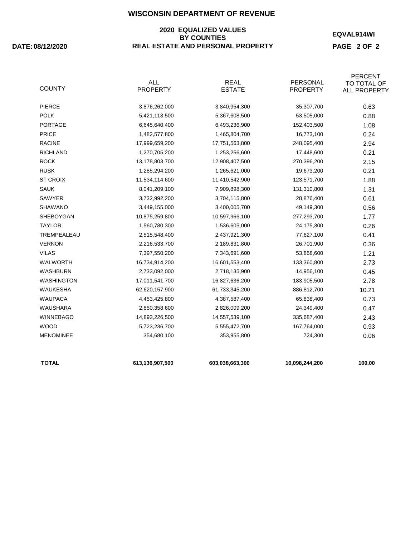#### **2020 EQUALIZED VALUES BY COUNTIES DATE: REAL ESTATE AND PERSONAL PROPERTY**

**08/12/2020**

**EQVAL914WI**

**PAGE 2 OF 2**

| <b>TOTAL</b>     | 613,136,907,500               | 603,038,663,300              | 10,098,244,200              | 100.00                                               |
|------------------|-------------------------------|------------------------------|-----------------------------|------------------------------------------------------|
| <b>MENOMINEE</b> | 354,680,100                   | 353,955,800                  | 724,300                     | 0.06                                                 |
| <b>WOOD</b>      | 5,723,236,700                 | 5,555,472,700                | 167,764,000                 | 0.93                                                 |
| <b>WINNEBAGO</b> | 14,893,226,500                | 14,557,539,100               | 335,687,400                 | 2.43                                                 |
| <b>WAUSHARA</b>  | 2,850,358,600                 | 2,826,009,200                | 24,349,400                  | 0.47                                                 |
| <b>WAUPACA</b>   | 4,453,425,800                 | 4,387,587,400                | 65,838,400                  | 0.73                                                 |
| <b>WAUKESHA</b>  | 62,620,157,900                | 61,733,345,200               | 886,812,700                 | 10.21                                                |
| WASHINGTON       | 17,011,541,700                | 16,827,636,200               | 183,905,500                 | 2.78                                                 |
| <b>WASHBURN</b>  | 2,733,092,000                 | 2,718,135,900                | 14,956,100                  | 0.45                                                 |
| <b>WALWORTH</b>  | 16,734,914,200                | 16,601,553,400               | 133,360,800                 | 2.73                                                 |
| <b>VILAS</b>     | 7,397,550,200                 | 7,343,691,600                | 53,858,600                  | 1.21                                                 |
| <b>VERNON</b>    | 2,216,533,700                 | 2,189,831,800                | 26,701,900                  | 0.36                                                 |
| TREMPEALEAU      | 2,515,548,400                 | 2,437,921,300                | 77,627,100                  | 0.41                                                 |
| <b>TAYLOR</b>    | 1,560,780,300                 | 1,536,605,000                | 24,175,300                  | 0.26                                                 |
| <b>SHEBOYGAN</b> | 10,875,259,800                | 10,597,966,100               | 277,293,700                 | 1.77                                                 |
| <b>SHAWANO</b>   | 3,449,155,000                 | 3,400,005,700                | 49,149,300                  | 0.56                                                 |
| <b>SAWYER</b>    | 3,732,992,200                 | 3,704,115,800                | 28,876,400                  | 0.61                                                 |
| <b>SAUK</b>      | 8,041,209,100                 | 7,909,898,300                | 131,310,800                 | 1.31                                                 |
| <b>ST CROIX</b>  | 11,534,114,600                | 11,410,542,900               | 123,571,700                 | 1.88                                                 |
| <b>RUSK</b>      | 1,285,294,200                 | 1,265,621,000                | 19,673,200                  | 0.21                                                 |
| <b>ROCK</b>      | 13,178,803,700                | 12,908,407,500               | 270,396,200                 | 2.15                                                 |
| <b>RICHLAND</b>  | 1,270,705,200                 | 1,253,256,600                | 17,448,600                  | 0.21                                                 |
| <b>RACINE</b>    | 17,999,659,200                | 17,751,563,800               | 248,095,400                 | 2.94                                                 |
| <b>PRICE</b>     | 1,482,577,800                 | 1,465,804,700                | 16,773,100                  | 0.24                                                 |
| <b>PORTAGE</b>   | 6,645,640,400                 | 6,493,236,900                | 152,403,500                 | 1.08                                                 |
| <b>POLK</b>      | 5,421,113,500                 | 5,367,608,500                | 53,505,000                  | 0.88                                                 |
| <b>PIERCE</b>    | 3,876,262,000                 | 3,840,954,300                | 35,307,700                  | 0.63                                                 |
| <b>COUNTY</b>    | <b>ALL</b><br><b>PROPERTY</b> | <b>REAL</b><br><b>ESTATE</b> | PERSONAL<br><b>PROPERTY</b> | <b>PERCENT</b><br>TO TOTAL OF<br><b>ALL PROPERTY</b> |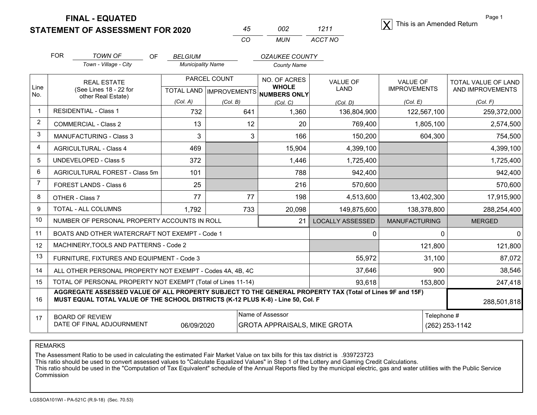**STATEMENT OF ASSESSMENT FOR 2020**  X

| 45 | 002 | 1211    |
|----|-----|---------|
| CO | MUN | ACCT NO |

Page 1 $|\mathbf{X}|$  This is an Amended Return

TOTAL VALUE OF LAND

|                                | FOR | TOWN OF<br>Town - Village - City | OF | <b>BELGIUM</b><br><b>Municipality Name</b> | OZAUKEE COUNTY<br>County Name |                      |          |
|--------------------------------|-----|----------------------------------|----|--------------------------------------------|-------------------------------|----------------------|----------|
| $\overline{\phantom{a}}$ l inn |     | <b>REAL ESTATE</b><br>.          |    | PARCEL COUNT                               | NO. OF ACRES<br><b>WHOLE</b>  | VALUE OF<br>$\cdots$ | VALUE OF |

| Line<br>No.    | (See Lines 18 - 22 for<br>other Real Estate)                                                                                                                                                                |          |          | <b>WHOLE</b><br>TOTAL LAND   IMPROVEMENTS   NUMBERS ONLY | <b>LAND</b>             | <b>IMPROVEMENTS</b>  | AND IMPROVEMENTS |
|----------------|-------------------------------------------------------------------------------------------------------------------------------------------------------------------------------------------------------------|----------|----------|----------------------------------------------------------|-------------------------|----------------------|------------------|
|                |                                                                                                                                                                                                             | (Col. A) | (Col. B) | (Col, C)                                                 | (Col. D)                | (Col. E)             | (Col. F)         |
| -1             | <b>RESIDENTIAL - Class 1</b>                                                                                                                                                                                | 732      | 641      | 1,360                                                    | 136,804,900             | 122,567,100          | 259,372,000      |
| $\overline{2}$ | <b>COMMERCIAL - Class 2</b>                                                                                                                                                                                 | 13       | 12       | 20                                                       | 769,400                 | 1,805,100            | 2,574,500        |
| 3              | <b>MANUFACTURING - Class 3</b>                                                                                                                                                                              | 3        | 3        | 166                                                      | 150,200                 | 604,300              | 754,500          |
| $\overline{4}$ | <b>AGRICULTURAL - Class 4</b>                                                                                                                                                                               | 469      |          | 15,904                                                   | 4,399,100               |                      | 4,399,100        |
| 5              | <b>UNDEVELOPED - Class 5</b>                                                                                                                                                                                | 372      |          | 1,446                                                    | 1,725,400               |                      | 1,725,400        |
| 6              | AGRICULTURAL FOREST - Class 5m                                                                                                                                                                              | 101      |          | 788                                                      | 942,400                 |                      | 942,400          |
| -7             | FOREST LANDS - Class 6                                                                                                                                                                                      | 25       |          | 216                                                      | 570,600                 |                      | 570,600          |
| 8              | OTHER - Class 7                                                                                                                                                                                             | 77       | 77       | 198                                                      | 4,513,600               | 13,402,300           | 17,915,900       |
| 9              | TOTAL - ALL COLUMNS                                                                                                                                                                                         | 1,792    | 733      | 20,098                                                   | 149,875,600             | 138,378,800          | 288,254,400      |
| 10             | NUMBER OF PERSONAL PROPERTY ACCOUNTS IN ROLL                                                                                                                                                                |          |          | 21                                                       | <b>LOCALLY ASSESSED</b> | <b>MANUFACTURING</b> | <b>MERGED</b>    |
| 11             | BOATS AND OTHER WATERCRAFT NOT EXEMPT - Code 1                                                                                                                                                              |          |          |                                                          | 0                       | 0                    | $\Omega$         |
| 12             | MACHINERY, TOOLS AND PATTERNS - Code 2                                                                                                                                                                      |          |          |                                                          |                         | 121,800              | 121,800          |
| 13             | FURNITURE, FIXTURES AND EQUIPMENT - Code 3                                                                                                                                                                  |          |          |                                                          | 55,972                  | 31,100               | 87,072           |
| 14             | ALL OTHER PERSONAL PROPERTY NOT EXEMPT - Codes 4A, 4B, 4C                                                                                                                                                   |          |          |                                                          | 37,646                  | 900                  | 38,546           |
| 15             | TOTAL OF PERSONAL PROPERTY NOT EXEMPT (Total of Lines 11-14)                                                                                                                                                |          |          | 93,618                                                   | 153,800                 | 247,418              |                  |
| 16             | AGGREGATE ASSESSED VALUE OF ALL PROPERTY SUBJECT TO THE GENERAL PROPERTY TAX (Total of Lines 9F and 15F)<br>MUST EQUAL TOTAL VALUE OF THE SCHOOL DISTRICTS (K-12 PLUS K-8) - Line 50, Col. F<br>288,501,818 |          |          |                                                          |                         |                      |                  |
| 17             | Name of Assessor<br>Telephone #<br><b>BOARD OF REVIEW</b><br>DATE OF FINAL ADJOURNMENT<br>06/09/2020<br><b>GROTA APPRAISALS, MIKE GROTA</b>                                                                 |          |          |                                                          |                         | (262) 253-1142       |                  |

REMARKS

The Assessment Ratio to be used in calculating the estimated Fair Market Value on tax bills for this tax district is .939723723<br>This ratio should be used to convert assessed values to "Calculate Equalized Values" in Step Commission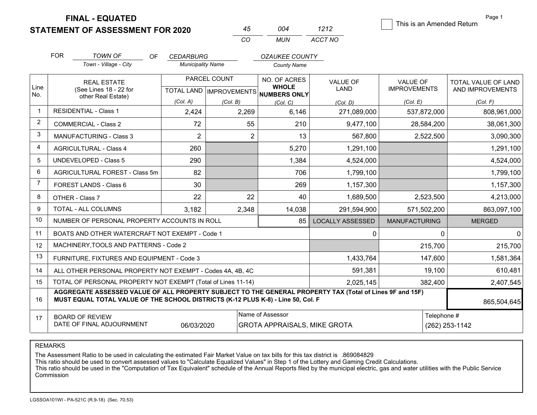**STATEMENT OF ASSESSMENT FOR 2020** 

|    | ∩∩⊿   | 1212    |
|----|-------|---------|
| rη | MI IN | ACCT NO |

This is an Amended Return

Page 1

|                | <b>FOR</b>                                                                                                                                                                                   | <b>TOWN OF</b>                                            | OF<br><b>CEDARBURG</b>   |                | <b>OZAUKEE COUNTY</b>                                |                         |                      |                     |
|----------------|----------------------------------------------------------------------------------------------------------------------------------------------------------------------------------------------|-----------------------------------------------------------|--------------------------|----------------|------------------------------------------------------|-------------------------|----------------------|---------------------|
|                |                                                                                                                                                                                              | Town - Village - City                                     | <b>Municipality Name</b> |                | <b>County Name</b>                                   |                         |                      |                     |
|                |                                                                                                                                                                                              | <b>REAL ESTATE</b>                                        |                          | PARCEL COUNT   | NO. OF ACRES                                         | <b>VALUE OF</b>         | <b>VALUE OF</b>      | TOTAL VALUE OF LAND |
| Line<br>No.    |                                                                                                                                                                                              | (See Lines 18 - 22 for<br>other Real Estate)              |                          |                | <b>WHOLE</b><br>TOTAL LAND IMPROVEMENTS NUMBERS ONLY | <b>LAND</b>             | <b>IMPROVEMENTS</b>  | AND IMPROVEMENTS    |
|                |                                                                                                                                                                                              |                                                           | (Col. A)                 | (Col. B)       | (Col, C)                                             | (Col, D)                | (Col, E)             | (Col, F)            |
|                |                                                                                                                                                                                              | <b>RESIDENTIAL - Class 1</b>                              | 2,424                    | 2,269          | 6,146                                                | 271,089,000             | 537,872,000          | 808,961,000         |
| $\overline{2}$ |                                                                                                                                                                                              | <b>COMMERCIAL - Class 2</b>                               | 72                       | 55             | 210                                                  | 9,477,100               | 28,584,200           | 38,061,300          |
| 3              |                                                                                                                                                                                              | <b>MANUFACTURING - Class 3</b>                            | $\overline{2}$           | $\overline{2}$ | 13                                                   | 567,800                 | 2,522,500            | 3,090,300           |
| 4              |                                                                                                                                                                                              | <b>AGRICULTURAL - Class 4</b>                             | 260                      |                | 5,270                                                | 1,291,100               |                      | 1,291,100           |
| 5              |                                                                                                                                                                                              | <b>UNDEVELOPED - Class 5</b>                              | 290                      |                | 1,384                                                | 4,524,000               |                      | 4,524,000           |
| 6              |                                                                                                                                                                                              | AGRICULTURAL FOREST - Class 5m                            | 82                       |                | 706                                                  | 1,799,100               |                      | 1,799,100           |
| $\overline{7}$ |                                                                                                                                                                                              | FOREST LANDS - Class 6                                    | 30                       |                | 269                                                  | 1,157,300               |                      | 1,157,300           |
| 8              |                                                                                                                                                                                              | OTHER - Class 7                                           | 22                       | 22             | 40                                                   | 1,689,500               | 2,523,500            | 4,213,000           |
| 9              |                                                                                                                                                                                              | TOTAL - ALL COLUMNS                                       | 3,182                    | 2,348          | 14,038                                               | 291,594,900             | 571,502,200          | 863,097,100         |
| 10             |                                                                                                                                                                                              | NUMBER OF PERSONAL PROPERTY ACCOUNTS IN ROLL              |                          |                | 85                                                   | <b>LOCALLY ASSESSED</b> | <b>MANUFACTURING</b> | <b>MERGED</b>       |
| 11             |                                                                                                                                                                                              | BOATS AND OTHER WATERCRAFT NOT EXEMPT - Code 1            |                          |                |                                                      | 0                       | $\Omega$             | <sup>0</sup>        |
| 12             |                                                                                                                                                                                              | MACHINERY. TOOLS AND PATTERNS - Code 2                    |                          |                |                                                      |                         | 215,700              | 215,700             |
| 13             |                                                                                                                                                                                              | FURNITURE, FIXTURES AND EQUIPMENT - Code 3                |                          |                |                                                      | 1,433,764               | 147,600              | 1,581,364           |
| 14             |                                                                                                                                                                                              | ALL OTHER PERSONAL PROPERTY NOT EXEMPT - Codes 4A, 4B, 4C |                          |                |                                                      | 591,381                 | 19,100               | 610,481             |
| 15             | TOTAL OF PERSONAL PROPERTY NOT EXEMPT (Total of Lines 11-14)                                                                                                                                 |                                                           |                          |                |                                                      | 2,025,145               | 382,400              | 2,407,545           |
| 16             | AGGREGATE ASSESSED VALUE OF ALL PROPERTY SUBJECT TO THE GENERAL PROPERTY TAX (Total of Lines 9F and 15F)<br>MUST EQUAL TOTAL VALUE OF THE SCHOOL DISTRICTS (K-12 PLUS K-8) - Line 50, Col. F |                                                           |                          |                |                                                      |                         |                      | 865,504,645         |
| 17             | <b>BOARD OF REVIEW</b>                                                                                                                                                                       |                                                           |                          |                | Name of Assessor                                     |                         | Telephone #          |                     |

REMARKS

The Assessment Ratio to be used in calculating the estimated Fair Market Value on tax bills for this tax district is .869084829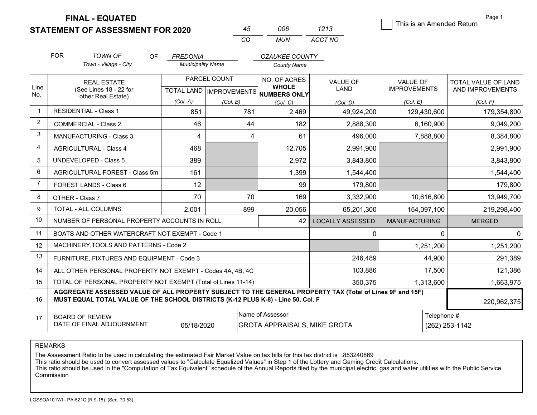**STATEMENT OF ASSESSMENT FOR 2020** 

| 45. | 006 | 1213    |
|-----|-----|---------|
| CO  | MUN | ACCT NO |

This is an Amended Return

Page 1

|                | <b>FOR</b>                                                   | <b>TOWN OF</b><br><b>OF</b>                                                                                                                                                                  | <b>FREDONIA</b>          |              | <b>OZAUKEE COUNTY</b>                               |                         |                      |                            |
|----------------|--------------------------------------------------------------|----------------------------------------------------------------------------------------------------------------------------------------------------------------------------------------------|--------------------------|--------------|-----------------------------------------------------|-------------------------|----------------------|----------------------------|
|                |                                                              | Town - Village - City                                                                                                                                                                        | <b>Municipality Name</b> |              | <b>County Name</b>                                  |                         |                      |                            |
|                |                                                              | <b>REAL ESTATE</b>                                                                                                                                                                           |                          | PARCEL COUNT | NO. OF ACRES                                        | <b>VALUE OF</b>         | <b>VALUE OF</b>      | <b>TOTAL VALUE OF LAND</b> |
| Line<br>No.    |                                                              | (See Lines 18 - 22 for<br>other Real Estate)                                                                                                                                                 |                          |              | <b>WHOLE</b><br>TOTAL LAND MPROVEMENTS NUMBERS ONLY | LAND                    | <b>IMPROVEMENTS</b>  | AND IMPROVEMENTS           |
|                |                                                              |                                                                                                                                                                                              | (Col. A)                 | (Col. B)     | (Col. C)                                            | (Col. D)                | (Col. E)             | (Col. F)                   |
| $\overline{1}$ |                                                              | <b>RESIDENTIAL - Class 1</b>                                                                                                                                                                 | 851                      | 781          | 2,469                                               | 49,924,200              | 129,430,600          | 179,354,800                |
| $\overline{2}$ |                                                              | <b>COMMERCIAL - Class 2</b>                                                                                                                                                                  | 46                       | 44           | 182                                                 | 2,888,300               | 6,160,900            | 9,049,200                  |
| 3              |                                                              | <b>MANUFACTURING - Class 3</b>                                                                                                                                                               | 4                        | 4            | 61                                                  | 496,000                 | 7,888,800            | 8,384,800                  |
| $\overline{4}$ |                                                              | <b>AGRICULTURAL - Class 4</b>                                                                                                                                                                | 468                      |              | 12,705                                              | 2,991,900               |                      | 2,991,900                  |
| 5              |                                                              | <b>UNDEVELOPED - Class 5</b>                                                                                                                                                                 | 389                      |              | 2,972                                               | 3,843,800               |                      | 3,843,800                  |
| 6              |                                                              | AGRICULTURAL FOREST - Class 5m                                                                                                                                                               | 161                      |              | 1,399                                               | 1,544,400               |                      | 1,544,400                  |
| $\overline{7}$ |                                                              | FOREST LANDS - Class 6                                                                                                                                                                       | 12                       |              | 99                                                  | 179,800                 |                      | 179,800                    |
| 8              |                                                              | OTHER - Class 7                                                                                                                                                                              | 70                       | 70           | 169                                                 | 3,332,900               | 10,616,800           | 13,949,700                 |
| 9              |                                                              | TOTAL - ALL COLUMNS                                                                                                                                                                          | 2,001                    | 899          | 20,056                                              | 65,201,300              | 154,097,100          | 219,298,400                |
| 10             |                                                              | NUMBER OF PERSONAL PROPERTY ACCOUNTS IN ROLL                                                                                                                                                 |                          |              | 42                                                  | <b>LOCALLY ASSESSED</b> | <b>MANUFACTURING</b> | <b>MERGED</b>              |
| 11             |                                                              | BOATS AND OTHER WATERCRAFT NOT EXEMPT - Code 1                                                                                                                                               |                          |              |                                                     | 0                       | $\mathbf{0}$         | $\Omega$                   |
| 12             |                                                              | MACHINERY, TOOLS AND PATTERNS - Code 2                                                                                                                                                       |                          |              |                                                     |                         | 1,251,200            | 1,251,200                  |
| 13             |                                                              | FURNITURE, FIXTURES AND EQUIPMENT - Code 3                                                                                                                                                   |                          |              |                                                     | 246,489                 | 44,900               | 291,389                    |
| 14             |                                                              | ALL OTHER PERSONAL PROPERTY NOT EXEMPT - Codes 4A, 4B, 4C                                                                                                                                    |                          |              |                                                     | 103,886                 | 17,500               | 121,386                    |
| 15             | TOTAL OF PERSONAL PROPERTY NOT EXEMPT (Total of Lines 11-14) |                                                                                                                                                                                              |                          |              |                                                     | 350,375                 | 1,313,600            | 1,663,975                  |
| 16             |                                                              | AGGREGATE ASSESSED VALUE OF ALL PROPERTY SUBJECT TO THE GENERAL PROPERTY TAX (Total of Lines 9F and 15F)<br>MUST EQUAL TOTAL VALUE OF THE SCHOOL DISTRICTS (K-12 PLUS K-8) - Line 50, Col. F |                          |              |                                                     |                         |                      | 220,962,375                |
| 17             |                                                              | <b>BOARD OF REVIEW</b>                                                                                                                                                                       |                          |              | Name of Assessor                                    |                         | Telephone #          |                            |
|                |                                                              | DATE OF FINAL ADJOURNMENT                                                                                                                                                                    | 05/18/2020               |              | <b>GROTA APPRAISALS, MIKE GROTA</b>                 |                         |                      | (262) 253-1142             |

REMARKS

The Assessment Ratio to be used in calculating the estimated Fair Market Value on tax bills for this tax district is .853240869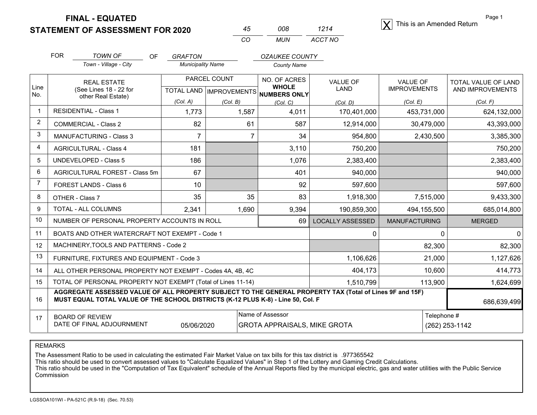STATEMENT OF ASSESSMENT FOR 2020 <sup>45</sup> 008 1214

|    | nnr | 1214    |
|----|-----|---------|
| rη | MUN | ACCT NO |

Page 1 $|\mathbf{X}|$  This is an Amended Return

| <b>FOR</b> | TOWN OF<br>ОF<br>GRAFTON<br>Town - Village - City<br><b>Municipality Name</b> |  |                                           | <i><b>OZAUKEE COUNTY</b></i><br><b>County Name</b> |                        |                                 |                                         |
|------------|-------------------------------------------------------------------------------|--|-------------------------------------------|----------------------------------------------------|------------------------|---------------------------------|-----------------------------------------|
| Line       | <b>REAL ESTATE</b><br>$(8.00)$ inne $19.22$ for                               |  | PARCEL COUNT<br>$TOTAL$ $IALD$ $ =   - -$ | NO. OF ACRES<br><b>WHOLE</b>                       | <b>VALUE OF</b><br>AND | <b>VALUE OF</b><br>IMPROVEMENTS | TOTAL VALUE OF LAND<br>AND IMPDOVEMENTS |

| Line<br>No.    | (See Lines 18 - 22 for<br>other Real Estate)                                                                                                                                                                |          |          | TOTAL LAND   IMPROVEMENTS NUMBERS ONLY | LAND                    | <b>IMPROVEMENTS</b>  | AND IMPROVEMENTS |  |
|----------------|-------------------------------------------------------------------------------------------------------------------------------------------------------------------------------------------------------------|----------|----------|----------------------------------------|-------------------------|----------------------|------------------|--|
|                |                                                                                                                                                                                                             | (Col. A) | (Col. B) | (Col. C)                               | (Col. D)                | (Col, E)             | (Col. F)         |  |
|                | RESIDENTIAL - Class 1                                                                                                                                                                                       | 1,773    | 1,587    | 4,011                                  | 170,401,000             | 453,731,000          | 624,132,000      |  |
| $\overline{2}$ | COMMERCIAL - Class 2                                                                                                                                                                                        | 82       | 61       | 587                                    | 12,914,000              | 30,479,000           | 43,393,000       |  |
| 3              | <b>MANUFACTURING - Class 3</b>                                                                                                                                                                              | 7        | 7        | 34                                     | 954,800                 | 2,430,500            | 3,385,300        |  |
| 4              | <b>AGRICULTURAL - Class 4</b>                                                                                                                                                                               | 181      |          | 3,110                                  | 750,200                 |                      | 750,200          |  |
| 5              | <b>UNDEVELOPED - Class 5</b>                                                                                                                                                                                | 186      |          | 1.076                                  | 2,383,400               |                      | 2,383,400        |  |
| 6              | AGRICULTURAL FOREST - Class 5m                                                                                                                                                                              | 67       |          | 401                                    | 940,000                 |                      | 940,000          |  |
| 7              | FOREST LANDS - Class 6                                                                                                                                                                                      | 10       |          | 92                                     | 597,600                 |                      | 597,600          |  |
| 8              | OTHER - Class 7                                                                                                                                                                                             | 35       | 35       | 83                                     | 1,918,300               | 7,515,000            | 9,433,300        |  |
| 9              | <b>TOTAL - ALL COLUMNS</b>                                                                                                                                                                                  | 2,341    | 1,690    | 9,394                                  | 190,859,300             | 494,155,500          | 685,014,800      |  |
| 10             | NUMBER OF PERSONAL PROPERTY ACCOUNTS IN ROLL                                                                                                                                                                |          |          | 69                                     | <b>LOCALLY ASSESSED</b> | <b>MANUFACTURING</b> | <b>MERGED</b>    |  |
| 11             | BOATS AND OTHER WATERCRAFT NOT EXEMPT - Code 1                                                                                                                                                              |          |          |                                        | 0                       | 0                    | 0                |  |
| 12             | MACHINERY, TOOLS AND PATTERNS - Code 2                                                                                                                                                                      |          |          |                                        |                         | 82,300               | 82,300           |  |
| 13             | FURNITURE, FIXTURES AND EQUIPMENT - Code 3                                                                                                                                                                  |          |          |                                        | 1,106,626               | 21,000               | 1,127,626        |  |
| 14             | ALL OTHER PERSONAL PROPERTY NOT EXEMPT - Codes 4A, 4B, 4C                                                                                                                                                   |          |          |                                        | 404,173                 | 10,600               | 414,773          |  |
| 15             | TOTAL OF PERSONAL PROPERTY NOT EXEMPT (Total of Lines 11-14)                                                                                                                                                |          |          |                                        | 1,510,799               | 113,900              | 1,624,699        |  |
| 16             | AGGREGATE ASSESSED VALUE OF ALL PROPERTY SUBJECT TO THE GENERAL PROPERTY TAX (Total of Lines 9F and 15F)<br>MUST EQUAL TOTAL VALUE OF THE SCHOOL DISTRICTS (K-12 PLUS K-8) - Line 50, Col. F<br>686,639,499 |          |          |                                        |                         |                      |                  |  |
| 17             | Name of Assessor<br>Telephone #<br><b>BOARD OF REVIEW</b><br>DATE OF FINAL ADJOURNMENT<br>05/06/2020<br><b>GROTA APPRAISALS, MIKE GROTA</b>                                                                 |          |          |                                        |                         | (262) 253-1142       |                  |  |

REMARKS

The Assessment Ratio to be used in calculating the estimated Fair Market Value on tax bills for this tax district is .977365542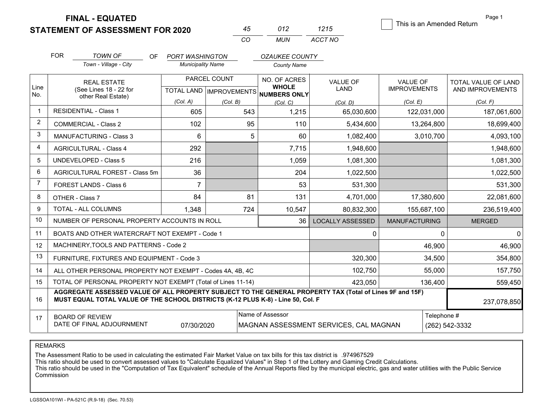**STATEMENT OF ASSESSMENT FOR 2020** 

| 45 | 012 | 1215    |
|----|-----|---------|
| CO | MUN | ACCT NO |

This is an Amended Return

Page 1

|                | <b>FOR</b>                                   | <b>TOWN OF</b><br>OF.<br>Town - Village - City                                                                                                                                               | <b>PORT WASHINGTON</b><br><b>Municipality Name</b>  |          | <b>OZAUKEE COUNTY</b><br><b>County Name</b> |                                        |                                        |                                         |
|----------------|----------------------------------------------|----------------------------------------------------------------------------------------------------------------------------------------------------------------------------------------------|-----------------------------------------------------|----------|---------------------------------------------|----------------------------------------|----------------------------------------|-----------------------------------------|
| Line           | <b>REAL ESTATE</b><br>(See Lines 18 - 22 for |                                                                                                                                                                                              | PARCEL COUNT<br>TOTAL LAND MPROVEMENTS NUMBERS ONLY |          | NO. OF ACRES<br><b>WHOLE</b>                | <b>VALUE OF</b><br>LAND                | <b>VALUE OF</b><br><b>IMPROVEMENTS</b> | TOTAL VALUE OF LAND<br>AND IMPROVEMENTS |
| No.            |                                              | other Real Estate)                                                                                                                                                                           | (Col. A)                                            | (Col. B) | (Col, C)                                    | (Col. D)                               | (Col. E)                               | (Col. F)                                |
| -1             |                                              | <b>RESIDENTIAL - Class 1</b>                                                                                                                                                                 | 605                                                 | 543      | 1,215                                       | 65,030,600                             | 122,031,000                            | 187,061,600                             |
| $\overline{2}$ |                                              | <b>COMMERCIAL - Class 2</b>                                                                                                                                                                  | 102                                                 | 95       | 110                                         | 5,434,600                              | 13,264,800                             | 18,699,400                              |
| 3              |                                              | <b>MANUFACTURING - Class 3</b>                                                                                                                                                               | 6                                                   |          | 5<br>60                                     | 1,082,400                              | 3,010,700                              | 4,093,100                               |
| 4              |                                              | <b>AGRICULTURAL - Class 4</b>                                                                                                                                                                | 292                                                 |          | 7,715                                       | 1,948,600                              |                                        | 1,948,600                               |
| 5              |                                              | UNDEVELOPED - Class 5                                                                                                                                                                        | 216                                                 |          | 1,059                                       | 1,081,300                              |                                        | 1,081,300                               |
| 6              |                                              | <b>AGRICULTURAL FOREST - Class 5m</b>                                                                                                                                                        | 36                                                  |          | 204                                         | 1,022,500                              |                                        | 1,022,500                               |
| $\overline{7}$ |                                              | FOREST LANDS - Class 6                                                                                                                                                                       | $\overline{7}$                                      |          | 53                                          | 531,300                                |                                        | 531,300                                 |
| 8              |                                              | OTHER - Class 7                                                                                                                                                                              | 84                                                  | 81       | 131                                         | 4,701,000                              | 17,380,600                             | 22,081,600                              |
| 9              |                                              | <b>TOTAL - ALL COLUMNS</b>                                                                                                                                                                   | 1,348                                               | 724      | 10,547                                      | 80,832,300                             | 155,687,100                            | 236,519,400                             |
| 10             |                                              | NUMBER OF PERSONAL PROPERTY ACCOUNTS IN ROLL                                                                                                                                                 |                                                     |          | 36                                          | <b>LOCALLY ASSESSED</b>                | <b>MANUFACTURING</b>                   | <b>MERGED</b>                           |
| 11             |                                              | BOATS AND OTHER WATERCRAFT NOT EXEMPT - Code 1                                                                                                                                               |                                                     |          |                                             | $\mathbf{0}$                           | $\Omega$                               | C                                       |
| 12             |                                              | MACHINERY, TOOLS AND PATTERNS - Code 2                                                                                                                                                       |                                                     |          |                                             |                                        | 46,900                                 | 46,900                                  |
| 13             |                                              | FURNITURE, FIXTURES AND EQUIPMENT - Code 3                                                                                                                                                   |                                                     |          |                                             | 320,300                                | 34,500                                 | 354,800                                 |
| 14             |                                              | ALL OTHER PERSONAL PROPERTY NOT EXEMPT - Codes 4A, 4B, 4C                                                                                                                                    |                                                     |          |                                             | 102,750                                | 55,000                                 | 157,750                                 |
| 15             |                                              | TOTAL OF PERSONAL PROPERTY NOT EXEMPT (Total of Lines 11-14)                                                                                                                                 |                                                     |          |                                             | 423,050                                | 136,400                                | 559,450                                 |
| 16             |                                              | AGGREGATE ASSESSED VALUE OF ALL PROPERTY SUBJECT TO THE GENERAL PROPERTY TAX (Total of Lines 9F and 15F)<br>MUST EQUAL TOTAL VALUE OF THE SCHOOL DISTRICTS (K-12 PLUS K-8) - Line 50, Col. F |                                                     |          |                                             |                                        |                                        | 237,078,850                             |
| 17             |                                              | Name of Assessor<br><b>BOARD OF REVIEW</b><br>DATE OF FINAL ADJOURNMENT<br>07/30/2020                                                                                                        |                                                     |          |                                             | MAGNAN ASSESSMENT SERVICES, CAL MAGNAN | Telephone #                            | (262) 542-3332                          |

REMARKS

The Assessment Ratio to be used in calculating the estimated Fair Market Value on tax bills for this tax district is .974967529<br>This ratio should be used to convert assessed values to "Calculate Equalized Values" in Step Commission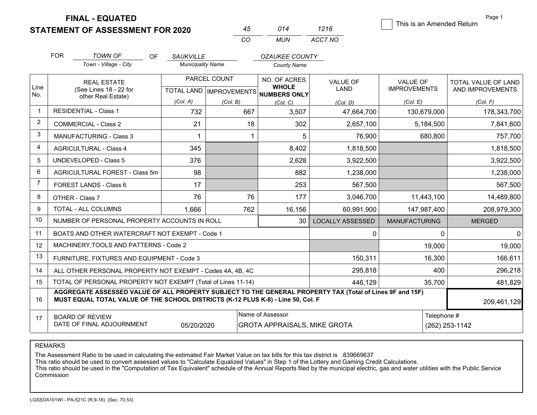**STATEMENT OF ASSESSMENT FOR 2020** 

|          |               | 1216    |
|----------|---------------|---------|
| $\cdots$ | <i>MI INI</i> | ACCT NO |

This is an Amended Return

Page 1

|                | <b>FOR</b>                                                                                                                                                                                   | <b>TOWN OF</b>                                               | <b>OF</b><br><b>SAUKVILLE</b> |                          |     | OZAUKEE COUNTY                       |                         |                      |                |                     |
|----------------|----------------------------------------------------------------------------------------------------------------------------------------------------------------------------------------------|--------------------------------------------------------------|-------------------------------|--------------------------|-----|--------------------------------------|-------------------------|----------------------|----------------|---------------------|
|                |                                                                                                                                                                                              | Town - Village - City                                        |                               | <b>Municipality Name</b> |     | <b>County Name</b>                   |                         |                      |                |                     |
| Line           |                                                                                                                                                                                              | <b>REAL ESTATE</b>                                           |                               | PARCEL COUNT             |     | NO. OF ACRES<br><b>WHOLE</b>         | <b>VALUE OF</b>         | <b>VALUE OF</b>      |                | TOTAL VALUE OF LAND |
| No.            |                                                                                                                                                                                              | (See Lines 18 - 22 for<br>other Real Estate)                 |                               |                          |     | TOTAL LAND IMPROVEMENTS NUMBERS ONLY | <b>LAND</b>             | <b>IMPROVEMENTS</b>  |                | AND IMPROVEMENTS    |
|                |                                                                                                                                                                                              |                                                              | (Col. A)                      | (Col. B)                 |     | (Col. C)                             | (Col, D)                | (Col. E)             |                | (Col. F)            |
|                |                                                                                                                                                                                              | <b>RESIDENTIAL - Class 1</b>                                 |                               | 732                      | 667 | 3,507                                | 47,664,700              | 130,679,000          |                | 178,343,700         |
| 2              |                                                                                                                                                                                              | <b>COMMERCIAL - Class 2</b>                                  |                               | 21                       | 18  | 302                                  | 2,657,100               | 5,184,500            |                | 7,841,600           |
| 3              |                                                                                                                                                                                              | MANUFACTURING - Class 3                                      |                               | $\mathbf 1$              |     | 5                                    | 76,900                  | 680,800              |                | 757,700             |
| $\overline{4}$ |                                                                                                                                                                                              | <b>AGRICULTURAL - Class 4</b>                                |                               | 345                      |     | 8,402                                | 1,818,500               |                      |                | 1,818,500           |
| 5              |                                                                                                                                                                                              | <b>UNDEVELOPED - Class 5</b>                                 |                               | 376                      |     | 2,628                                | 3,922,500               |                      |                | 3,922,500           |
| 6              |                                                                                                                                                                                              | AGRICULTURAL FOREST - Class 5m                               |                               | 98                       |     | 882                                  | 1,238,000               |                      |                | 1,238,000           |
| $\overline{7}$ |                                                                                                                                                                                              | FOREST LANDS - Class 6                                       |                               | 17                       |     | 253                                  | 567,500                 |                      |                | 567,500             |
| 8              |                                                                                                                                                                                              | OTHER - Class 7                                              |                               | 76                       | 76  | 177                                  | 3,046,700               | 11,443,100           |                | 14,489,800          |
| 9              |                                                                                                                                                                                              | TOTAL - ALL COLUMNS                                          | 1,666                         |                          | 762 | 16,156                               | 60,991,900              | 147,987,400          |                | 208,979,300         |
| 10             |                                                                                                                                                                                              | NUMBER OF PERSONAL PROPERTY ACCOUNTS IN ROLL                 |                               |                          |     | 30                                   | <b>LOCALLY ASSESSED</b> | <b>MANUFACTURING</b> |                | <b>MERGED</b>       |
| 11             |                                                                                                                                                                                              | BOATS AND OTHER WATERCRAFT NOT EXEMPT - Code 1               |                               |                          |     |                                      | $\Omega$                |                      | $\Omega$       | <sup>0</sup>        |
| 12             |                                                                                                                                                                                              | MACHINERY, TOOLS AND PATTERNS - Code 2                       |                               |                          |     |                                      |                         | 19,000               |                | 19,000              |
| 13             |                                                                                                                                                                                              | FURNITURE, FIXTURES AND EQUIPMENT - Code 3                   |                               |                          |     |                                      | 150,311                 | 16,300               |                | 166,611             |
| 14             |                                                                                                                                                                                              | ALL OTHER PERSONAL PROPERTY NOT EXEMPT - Codes 4A, 4B, 4C    |                               |                          |     |                                      | 295,818                 |                      | 400            | 296,218             |
| 15             |                                                                                                                                                                                              | TOTAL OF PERSONAL PROPERTY NOT EXEMPT (Total of Lines 11-14) |                               |                          |     |                                      | 446,129                 | 35,700               |                | 481,829             |
| 16             | AGGREGATE ASSESSED VALUE OF ALL PROPERTY SUBJECT TO THE GENERAL PROPERTY TAX (Total of Lines 9F and 15F)<br>MUST EQUAL TOTAL VALUE OF THE SCHOOL DISTRICTS (K-12 PLUS K-8) - Line 50, Col. F |                                                              |                               |                          |     |                                      |                         |                      | 209,461,129    |                     |
| 17             |                                                                                                                                                                                              | <b>BOARD OF REVIEW</b>                                       |                               |                          |     | Name of Assessor                     |                         |                      | Telephone #    |                     |
|                |                                                                                                                                                                                              | DATE OF FINAL ADJOURNMENT                                    |                               | 05/20/2020               |     | <b>GROTA APPRAISALS, MIKE GROTA</b>  |                         |                      | (262) 253-1142 |                     |

REMARKS

The Assessment Ratio to be used in calculating the estimated Fair Market Value on tax bills for this tax district is .839669637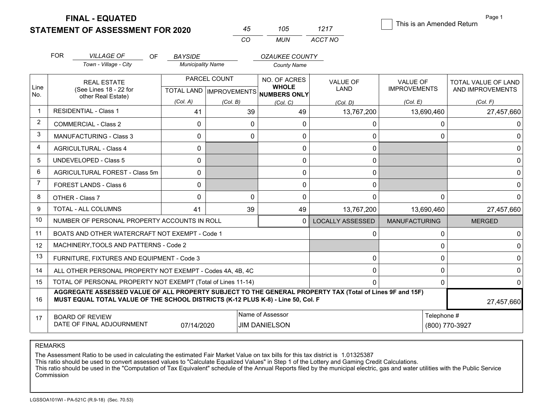**STATEMENT OF ASSESSMENT FOR 2020 FINAL - EQUATED**

|    | 105   | 1217    |
|----|-------|---------|
| cо | MI IN | ACCT NO |

This is an Amended Return

Page 1

|                | <b>FOR</b> | <b>VILLAGE OF</b><br>OF                                                                                                                                                                      | <b>BAYSIDE</b>           |                                           | <b>OZAUKEE COUNTY</b>                    |                                |                                        |                                         |
|----------------|------------|----------------------------------------------------------------------------------------------------------------------------------------------------------------------------------------------|--------------------------|-------------------------------------------|------------------------------------------|--------------------------------|----------------------------------------|-----------------------------------------|
|                |            | Town - Village - City                                                                                                                                                                        | <b>Municipality Name</b> |                                           | <b>County Name</b>                       |                                |                                        |                                         |
| Line           |            | <b>REAL ESTATE</b><br>(See Lines 18 - 22 for                                                                                                                                                 |                          | PARCEL COUNT<br>TOTAL LAND   IMPROVEMENTS | NO. OF ACRES<br><b>WHOLE</b>             | <b>VALUE OF</b><br><b>LAND</b> | <b>VALUE OF</b><br><b>IMPROVEMENTS</b> | TOTAL VALUE OF LAND<br>AND IMPROVEMENTS |
| No.            |            | other Real Estate)                                                                                                                                                                           | (Col. A)                 | (Col. B)                                  | NUMBERS ONLY<br>(Col. C)                 | (Col. D)                       | (Col. E)                               | (Col. F)                                |
|                |            | <b>RESIDENTIAL - Class 1</b>                                                                                                                                                                 | 41                       | 39                                        | 49                                       | 13,767,200                     | 13,690,460                             | 27,457,660                              |
| 2              |            | <b>COMMERCIAL - Class 2</b>                                                                                                                                                                  | $\mathbf{0}$             | $\Omega$                                  | 0                                        | <sup>0</sup>                   |                                        | 0                                       |
| 3              |            | <b>MANUFACTURING - Class 3</b>                                                                                                                                                               | $\Omega$                 | 0                                         | 0                                        | 0                              |                                        | $\Omega$                                |
| $\overline{4}$ |            | <b>AGRICULTURAL - Class 4</b>                                                                                                                                                                | 0                        |                                           | 0                                        | 0                              |                                        |                                         |
| 5              |            | <b>UNDEVELOPED - Class 5</b>                                                                                                                                                                 | 0                        |                                           | 0                                        | $\Omega$                       |                                        |                                         |
| 6              |            | AGRICULTURAL FOREST - Class 5m                                                                                                                                                               | $\mathbf{0}$             |                                           | 0                                        | $\Omega$                       |                                        |                                         |
| $\overline{7}$ |            | FOREST LANDS - Class 6                                                                                                                                                                       | 0                        |                                           | 0                                        | $\Omega$                       |                                        |                                         |
| 8              |            | OTHER - Class 7                                                                                                                                                                              | $\mathbf 0$              | $\Omega$                                  | 0                                        | $\Omega$                       |                                        | $\Omega$                                |
| $\mathbf{Q}$   |            | TOTAL - ALL COLUMNS                                                                                                                                                                          | 41                       | 39                                        | 49                                       | 13,767,200                     | 13,690,460                             | 27,457,660                              |
| 10             |            | NUMBER OF PERSONAL PROPERTY ACCOUNTS IN ROLL                                                                                                                                                 |                          |                                           | $\Omega$                                 | <b>LOCALLY ASSESSED</b>        | <b>MANUFACTURING</b>                   | <b>MERGED</b>                           |
| 11             |            | BOATS AND OTHER WATERCRAFT NOT EXEMPT - Code 1                                                                                                                                               |                          |                                           |                                          | 0                              |                                        | $\Omega$                                |
| 12             |            | MACHINERY, TOOLS AND PATTERNS - Code 2                                                                                                                                                       |                          |                                           |                                          |                                |                                        | 0                                       |
| 13             |            | FURNITURE, FIXTURES AND EQUIPMENT - Code 3                                                                                                                                                   |                          |                                           |                                          | $\Omega$                       |                                        | 0                                       |
| 14             |            | ALL OTHER PERSONAL PROPERTY NOT EXEMPT - Codes 4A, 4B, 4C                                                                                                                                    |                          |                                           |                                          | $\Omega$                       |                                        | $\mathbf{0}$                            |
| 15             |            | TOTAL OF PERSONAL PROPERTY NOT EXEMPT (Total of Lines 11-14)                                                                                                                                 |                          |                                           |                                          |                                |                                        | $\mathbf{0}$                            |
| 16             |            | AGGREGATE ASSESSED VALUE OF ALL PROPERTY SUBJECT TO THE GENERAL PROPERTY TAX (Total of Lines 9F and 15F)<br>MUST EQUAL TOTAL VALUE OF THE SCHOOL DISTRICTS (K-12 PLUS K-8) - Line 50, Col. F |                          |                                           |                                          |                                | 27,457,660                             |                                         |
| 17             |            | <b>BOARD OF REVIEW</b><br>DATE OF FINAL ADJOURNMENT                                                                                                                                          | 07/14/2020               |                                           | Name of Assessor<br><b>JIM DANIELSON</b> |                                | Telephone #                            | (800) 770-3927                          |

REMARKS

The Assessment Ratio to be used in calculating the estimated Fair Market Value on tax bills for this tax district is 1.01325387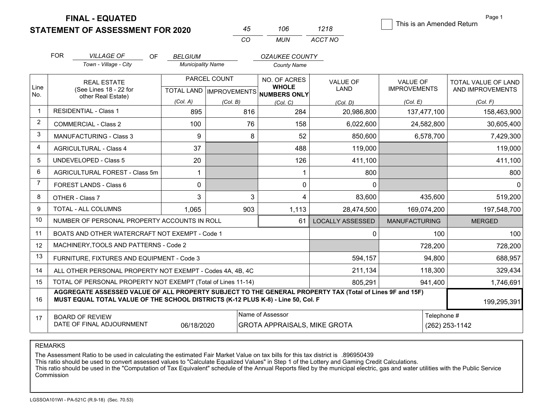**STATEMENT OF ASSESSMENT FOR 2020** 

| 45 | 106 | 1218    |
|----|-----|---------|
| CO | MUN | ACCT NO |

This is an Amended Return

Page 1

|                | <b>FOR</b> | <b>VILLAGE OF</b>                                                                                                                                                                            | OF. | <b>BELGIUM</b>           |              |     | <b>OZAUKEE COUNTY</b>                                   |                         |                      |             |                            |
|----------------|------------|----------------------------------------------------------------------------------------------------------------------------------------------------------------------------------------------|-----|--------------------------|--------------|-----|---------------------------------------------------------|-------------------------|----------------------|-------------|----------------------------|
|                |            | Town - Village - City                                                                                                                                                                        |     | <b>Municipality Name</b> |              |     | <b>County Name</b>                                      |                         |                      |             |                            |
|                |            | <b>REAL ESTATE</b>                                                                                                                                                                           |     |                          | PARCEL COUNT |     | NO. OF ACRES                                            | <b>VALUE OF</b>         | <b>VALUE OF</b>      |             | <b>TOTAL VALUE OF LAND</b> |
| Line<br>No.    |            | (See Lines 18 - 22 for<br>other Real Estate)                                                                                                                                                 |     |                          |              |     | <b>WHOLE</b><br>TOTAL LAND IMPROVEMENTS NUMBERS ONLY    | <b>LAND</b>             | <b>IMPROVEMENTS</b>  |             | AND IMPROVEMENTS           |
|                |            |                                                                                                                                                                                              |     | (Col. A)                 | (Col. B)     |     | (Col, C)                                                | (Col. D)                | (Col. E)             |             | (Col. F)                   |
| $\mathbf 1$    |            | <b>RESIDENTIAL - Class 1</b>                                                                                                                                                                 |     | 895                      |              | 816 | 284                                                     | 20,986,800              |                      | 137,477,100 | 158,463,900                |
| 2              |            | <b>COMMERCIAL - Class 2</b>                                                                                                                                                                  |     | 100                      |              | 76  | 158                                                     | 6,022,600               |                      | 24,582,800  | 30,605,400                 |
| 3              |            | MANUFACTURING - Class 3                                                                                                                                                                      |     | 9                        |              | 8   | 52                                                      | 850,600                 |                      | 6,578,700   | 7,429,300                  |
| $\overline{4}$ |            | <b>AGRICULTURAL - Class 4</b>                                                                                                                                                                |     | 37                       |              |     | 488                                                     | 119,000                 |                      |             | 119,000                    |
| 5              |            | <b>UNDEVELOPED - Class 5</b>                                                                                                                                                                 |     | 20                       |              |     | 126                                                     | 411,100                 |                      |             | 411,100                    |
| 6              |            | AGRICULTURAL FOREST - Class 5m                                                                                                                                                               |     | $\mathbf{1}$             |              |     | 1                                                       | 800                     |                      |             | 800                        |
| $\overline{7}$ |            | <b>FOREST LANDS - Class 6</b>                                                                                                                                                                |     | 0                        |              |     | 0                                                       | $\Omega$                |                      |             | $\Omega$                   |
| 8              |            | OTHER - Class 7                                                                                                                                                                              |     | 3                        |              | 3   | 4                                                       | 83,600                  |                      | 435,600     | 519,200                    |
| 9              |            | TOTAL - ALL COLUMNS                                                                                                                                                                          |     | 1,065                    |              | 903 | 1,113                                                   | 28,474,500              |                      | 169,074,200 | 197,548,700                |
| 10             |            | NUMBER OF PERSONAL PROPERTY ACCOUNTS IN ROLL                                                                                                                                                 |     |                          |              |     | 61                                                      | <b>LOCALLY ASSESSED</b> | <b>MANUFACTURING</b> |             | <b>MERGED</b>              |
| 11             |            | BOATS AND OTHER WATERCRAFT NOT EXEMPT - Code 1                                                                                                                                               |     |                          |              |     |                                                         | $\Omega$                |                      | 100         | 100                        |
| 12             |            | MACHINERY, TOOLS AND PATTERNS - Code 2                                                                                                                                                       |     |                          |              |     |                                                         |                         |                      | 728,200     | 728,200                    |
| 13             |            | FURNITURE, FIXTURES AND EQUIPMENT - Code 3                                                                                                                                                   |     |                          |              |     |                                                         | 594,157                 |                      | 94,800      | 688,957                    |
| 14             |            | ALL OTHER PERSONAL PROPERTY NOT EXEMPT - Codes 4A, 4B, 4C                                                                                                                                    |     |                          |              |     |                                                         | 211,134                 |                      | 118,300     | 329,434                    |
| 15             |            | TOTAL OF PERSONAL PROPERTY NOT EXEMPT (Total of Lines 11-14)                                                                                                                                 |     |                          |              |     |                                                         | 805,291                 |                      | 941,400     | 1,746,691                  |
| 16             |            | AGGREGATE ASSESSED VALUE OF ALL PROPERTY SUBJECT TO THE GENERAL PROPERTY TAX (Total of Lines 9F and 15F)<br>MUST EQUAL TOTAL VALUE OF THE SCHOOL DISTRICTS (K-12 PLUS K-8) - Line 50, Col. F |     |                          |              |     |                                                         |                         |                      |             | 199,295,391                |
| 17             |            | <b>BOARD OF REVIEW</b><br>DATE OF FINAL ADJOURNMENT                                                                                                                                          |     | 06/18/2020               |              |     | Name of Assessor<br><b>GROTA APPRAISALS, MIKE GROTA</b> |                         |                      | Telephone # | (262) 253-1142             |

REMARKS

The Assessment Ratio to be used in calculating the estimated Fair Market Value on tax bills for this tax district is …896950439<br>This ratio should be used to convert assessed values to "Calculate Equalized Values" in Step 1 Commission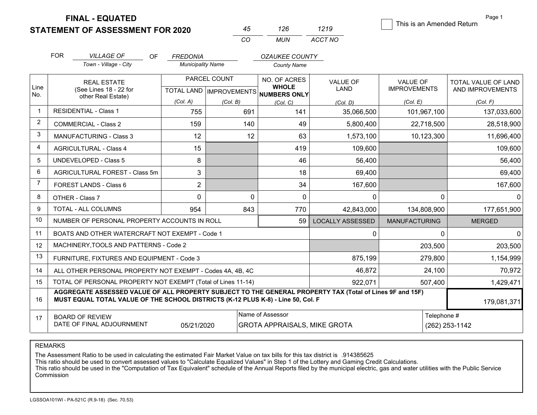**STATEMENT OF ASSESSMENT FOR 2020** 

| 45. | 126 | 1219    |
|-----|-----|---------|
| CO  | MUN | ACCT NO |

This is an Amended Return

Page 1

|                | <b>FOR</b>                                                                                                                                                                                   | <b>VILLAGE OF</b><br>OF                                      | <b>FREDONIA</b>          |                           | <b>OZAUKEE COUNTY</b>               |                         |                      |                     |
|----------------|----------------------------------------------------------------------------------------------------------------------------------------------------------------------------------------------|--------------------------------------------------------------|--------------------------|---------------------------|-------------------------------------|-------------------------|----------------------|---------------------|
|                |                                                                                                                                                                                              | Town - Village - City                                        | <b>Municipality Name</b> |                           | <b>County Name</b>                  |                         |                      |                     |
| Line           |                                                                                                                                                                                              | <b>REAL ESTATE</b>                                           |                          | PARCEL COUNT              | <b>NO. OF ACRES</b><br><b>WHOLE</b> | <b>VALUE OF</b>         | VALUE OF             | TOTAL VALUE OF LAND |
| No.            |                                                                                                                                                                                              | (See Lines 18 - 22 for<br>other Real Estate)                 |                          | TOTAL LAND   IMPROVEMENTS | <b>NUMBERS ONLY</b>                 | LAND                    | <b>IMPROVEMENTS</b>  | AND IMPROVEMENTS    |
|                |                                                                                                                                                                                              |                                                              | (Col. A)                 | (Col. B)                  | (Col, C)                            | (Col, D)                | (Col, E)             | (Col, F)            |
| $\mathbf{1}$   |                                                                                                                                                                                              | <b>RESIDENTIAL - Class 1</b>                                 | 755                      | 691                       | 141                                 | 35,066,500              | 101,967,100          | 137,033,600         |
| $\overline{2}$ |                                                                                                                                                                                              | <b>COMMERCIAL - Class 2</b>                                  | 159                      | 140                       | 49                                  | 5,800,400               | 22,718,500           | 28,518,900          |
| 3              |                                                                                                                                                                                              | <b>MANUFACTURING - Class 3</b>                               | 12                       | 12                        | 63                                  | 1,573,100               | 10,123,300           | 11,696,400          |
| $\overline{4}$ |                                                                                                                                                                                              | <b>AGRICULTURAL - Class 4</b>                                | 15                       |                           | 419                                 | 109,600                 |                      | 109,600             |
| 5              |                                                                                                                                                                                              | <b>UNDEVELOPED - Class 5</b>                                 | 8                        |                           | 46                                  | 56,400                  |                      | 56,400              |
| 6              |                                                                                                                                                                                              | AGRICULTURAL FOREST - Class 5m                               | 3                        |                           | 18                                  | 69,400                  |                      | 69,400              |
| $\overline{7}$ |                                                                                                                                                                                              | FOREST LANDS - Class 6                                       | $\overline{2}$           |                           | 34                                  | 167,600                 |                      | 167,600             |
| 8              |                                                                                                                                                                                              | OTHER - Class 7                                              | $\mathbf 0$              | $\Omega$                  | $\mathbf{0}$                        | $\Omega$                | $\Omega$             | $\Omega$            |
| 9              |                                                                                                                                                                                              | <b>TOTAL - ALL COLUMNS</b>                                   | 954                      | 843                       | 770                                 | 42,843,000              | 134,808,900          | 177,651,900         |
| 10             |                                                                                                                                                                                              | NUMBER OF PERSONAL PROPERTY ACCOUNTS IN ROLL                 |                          |                           | 59                                  | <b>LOCALLY ASSESSED</b> | <b>MANUFACTURING</b> | <b>MERGED</b>       |
| 11             |                                                                                                                                                                                              | BOATS AND OTHER WATERCRAFT NOT EXEMPT - Code 1               |                          |                           |                                     | 0                       | $\mathbf{0}$         | 0                   |
| 12             |                                                                                                                                                                                              | MACHINERY, TOOLS AND PATTERNS - Code 2                       |                          |                           |                                     |                         | 203,500              | 203,500             |
| 13             |                                                                                                                                                                                              | FURNITURE, FIXTURES AND EQUIPMENT - Code 3                   |                          |                           |                                     | 875,199                 | 279,800              | 1,154,999           |
| 14             |                                                                                                                                                                                              | ALL OTHER PERSONAL PROPERTY NOT EXEMPT - Codes 4A, 4B, 4C    |                          |                           |                                     | 46,872                  | 24,100               | 70,972              |
| 15             |                                                                                                                                                                                              | TOTAL OF PERSONAL PROPERTY NOT EXEMPT (Total of Lines 11-14) |                          |                           |                                     | 922,071                 | 507,400              | 1,429,471           |
| 16             | AGGREGATE ASSESSED VALUE OF ALL PROPERTY SUBJECT TO THE GENERAL PROPERTY TAX (Total of Lines 9F and 15F)<br>MUST EQUAL TOTAL VALUE OF THE SCHOOL DISTRICTS (K-12 PLUS K-8) - Line 50, Col. F |                                                              |                          |                           |                                     |                         | 179,081,371          |                     |
| 17             |                                                                                                                                                                                              | <b>BOARD OF REVIEW</b>                                       |                          |                           | Name of Assessor                    |                         | Telephone #          |                     |
|                |                                                                                                                                                                                              | DATE OF FINAL ADJOURNMENT                                    | 05/21/2020               |                           | <b>GROTA APPRAISALS, MIKE GROTA</b> |                         |                      | (262) 253-1142      |

REMARKS

The Assessment Ratio to be used in calculating the estimated Fair Market Value on tax bills for this tax district is .914385625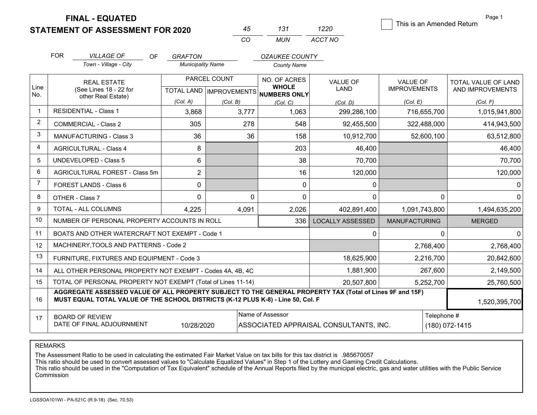**STATEMENT OF ASSESSMENT FOR 2020** 

| 45 | 131 | 1220    |
|----|-----|---------|
| CO | MUN | ACCT NO |

This is an Amended Return

Page 1

|                | <b>FOR</b>                                                                        | <b>VILLAGE OF</b><br>OF.                                                                                                                                                                     | <b>GRAFTON</b>           |                           | <b>OZAUKEE COUNTY</b>        |                         |                      |                     |
|----------------|-----------------------------------------------------------------------------------|----------------------------------------------------------------------------------------------------------------------------------------------------------------------------------------------|--------------------------|---------------------------|------------------------------|-------------------------|----------------------|---------------------|
|                |                                                                                   | Town - Village - City                                                                                                                                                                        | <b>Municipality Name</b> |                           | <b>County Name</b>           |                         |                      |                     |
|                |                                                                                   | <b>REAL ESTATE</b>                                                                                                                                                                           |                          | PARCEL COUNT              | NO. OF ACRES                 | <b>VALUE OF</b>         | <b>VALUE OF</b>      | TOTAL VALUE OF LAND |
| Line<br>No.    |                                                                                   | (See Lines 18 - 22 for<br>other Real Estate)                                                                                                                                                 |                          | TOTAL LAND   IMPROVEMENTS | <b>WHOLE</b><br>NUMBERS ONLY | LAND                    | <b>IMPROVEMENTS</b>  | AND IMPROVEMENTS    |
|                |                                                                                   |                                                                                                                                                                                              | (Col. A)                 | (Col. B)                  | (Col, C)                     | (Col. D)                | (Col. E)             | (Col. F)            |
|                |                                                                                   | <b>RESIDENTIAL - Class 1</b>                                                                                                                                                                 | 3,868                    | 3,777                     | 1,063                        | 299,286,100             | 716,655,700          | 1,015,941,800       |
| $\overline{2}$ |                                                                                   | <b>COMMERCIAL - Class 2</b>                                                                                                                                                                  | 305                      | 278                       | 548                          | 92,455,500              | 322,488,000          | 414,943,500         |
| 3              |                                                                                   | MANUFACTURING - Class 3                                                                                                                                                                      | 36                       | 36                        | 158                          | 10,912,700              | 52,600,100           | 63,512,800          |
| 4              |                                                                                   | <b>AGRICULTURAL - Class 4</b>                                                                                                                                                                | 8                        |                           | 203                          | 46,400                  |                      | 46,400              |
| 5              |                                                                                   | <b>UNDEVELOPED - Class 5</b>                                                                                                                                                                 | 6                        |                           | 38                           | 70,700                  |                      | 70,700              |
| 6              |                                                                                   | AGRICULTURAL FOREST - Class 5m                                                                                                                                                               | $\overline{2}$           |                           | 16                           | 120,000                 |                      | 120,000             |
| $\overline{7}$ |                                                                                   | FOREST LANDS - Class 6                                                                                                                                                                       | 0                        |                           | 0                            | 0                       |                      | 0                   |
| 8              |                                                                                   | OTHER - Class 7                                                                                                                                                                              | 0                        | $\Omega$                  | 0                            | $\Omega$                | 0                    | O                   |
| 9              |                                                                                   | TOTAL - ALL COLUMNS                                                                                                                                                                          | 4,225                    | 4,091                     | 2,026                        | 402,891,400             | 1,091,743,800        | 1,494,635,200       |
| 10             |                                                                                   | NUMBER OF PERSONAL PROPERTY ACCOUNTS IN ROLL                                                                                                                                                 |                          |                           | 336                          | <b>LOCALLY ASSESSED</b> | <b>MANUFACTURING</b> | <b>MERGED</b>       |
| 11             |                                                                                   | BOATS AND OTHER WATERCRAFT NOT EXEMPT - Code 1                                                                                                                                               |                          |                           |                              | 0                       | $\mathbf{0}$         | 0                   |
| 12             |                                                                                   | MACHINERY, TOOLS AND PATTERNS - Code 2                                                                                                                                                       |                          |                           |                              |                         | 2,768,400            | 2,768,400           |
| 13             |                                                                                   | FURNITURE, FIXTURES AND EQUIPMENT - Code 3                                                                                                                                                   |                          |                           |                              | 18,625,900              | 2,216,700            | 20,842,600          |
| 14             |                                                                                   | ALL OTHER PERSONAL PROPERTY NOT EXEMPT - Codes 4A, 4B, 4C                                                                                                                                    |                          |                           |                              | 1,881,900               | 267,600              | 2,149,500           |
| 15             |                                                                                   | TOTAL OF PERSONAL PROPERTY NOT EXEMPT (Total of Lines 11-14)                                                                                                                                 |                          |                           |                              | 20,507,800              | 5,252,700            | 25,760,500          |
| 16             |                                                                                   | AGGREGATE ASSESSED VALUE OF ALL PROPERTY SUBJECT TO THE GENERAL PROPERTY TAX (Total of Lines 9F and 15F)<br>MUST EQUAL TOTAL VALUE OF THE SCHOOL DISTRICTS (K-12 PLUS K-8) - Line 50, Col. F |                          |                           |                              |                         |                      | 1,520,395,700       |
| 17             | Name of Assessor<br><b>BOARD OF REVIEW</b>                                        |                                                                                                                                                                                              |                          |                           |                              |                         | Telephone #          |                     |
|                | DATE OF FINAL ADJOURNMENT<br>10/28/2020<br>ASSOCIATED APPRAISAL CONSULTANTS, INC. |                                                                                                                                                                                              |                          |                           |                              |                         |                      | (180) 072-1415      |

REMARKS

The Assessment Ratio to be used in calculating the estimated Fair Market Value on tax bills for this tax district is .985670057<br>This ratio should be used to convert assessed values to "Calculate Equalized Values" in Step Commission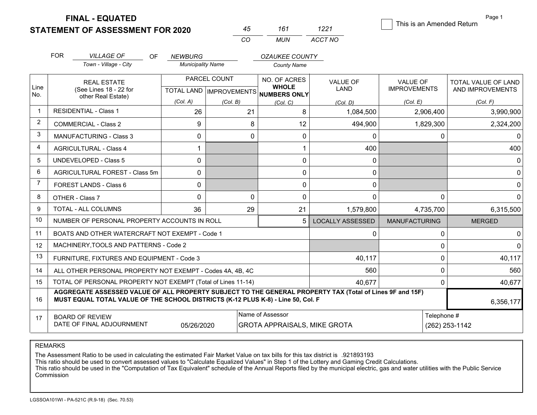**STATEMENT OF ASSESSMENT FOR 2020** 

**FINAL - EQUATED**

| 45 | 161 | 1221    |
|----|-----|---------|
| CO | MUN | ACCT NO |

This is an Amended Peturn

Page 1

| 161 | 1221    | THIS IS ALL ATHEIRED REWITH |
|-----|---------|-----------------------------|
| IUN | ACCT NO |                             |

|                | <b>FOR</b>                                                                                                                                                                                   | <b>VILLAGE OF</b><br><b>OF</b>                               | <b>NEWBURG</b>           |                                                | <b>OZAUKEE COUNTY</b>                                   |                                |                                        |                                         |
|----------------|----------------------------------------------------------------------------------------------------------------------------------------------------------------------------------------------|--------------------------------------------------------------|--------------------------|------------------------------------------------|---------------------------------------------------------|--------------------------------|----------------------------------------|-----------------------------------------|
|                |                                                                                                                                                                                              | Town - Village - City                                        | <b>Municipality Name</b> |                                                | <b>County Name</b>                                      |                                |                                        |                                         |
| Line           |                                                                                                                                                                                              | <b>REAL ESTATE</b><br>(See Lines 18 - 22 for                 |                          | PARCEL COUNT<br><b>TOTAL LAND IMPROVEMENTS</b> | NO. OF ACRES<br><b>WHOLE</b>                            | <b>VALUE OF</b><br><b>LAND</b> | <b>VALUE OF</b><br><b>IMPROVEMENTS</b> | TOTAL VALUE OF LAND<br>AND IMPROVEMENTS |
| No.            |                                                                                                                                                                                              | other Real Estate)                                           | (Col. A)                 | (Col. B)                                       | <b>NUMBERS ONLY</b><br>(Col, C)                         | (Col. D)                       | (Col. E)                               | (Col. F)                                |
| $\overline{1}$ |                                                                                                                                                                                              | <b>RESIDENTIAL - Class 1</b>                                 | 26                       | 21                                             | 8                                                       | 1,084,500                      | 2,906,400                              | 3,990,900                               |
| 2              |                                                                                                                                                                                              | <b>COMMERCIAL - Class 2</b>                                  | 9                        | 8                                              | 12                                                      | 494,900                        | 1,829,300                              | 2,324,200                               |
| 3              |                                                                                                                                                                                              | <b>MANUFACTURING - Class 3</b>                               | $\mathbf{0}$             | $\Omega$                                       | 0                                                       | 0                              | 0                                      | 0                                       |
| 4              |                                                                                                                                                                                              | <b>AGRICULTURAL - Class 4</b>                                |                          |                                                |                                                         | 400                            |                                        | 400                                     |
| 5              |                                                                                                                                                                                              | <b>UNDEVELOPED - Class 5</b>                                 | $\Omega$                 |                                                | 0                                                       | 0                              |                                        | 0                                       |
| 6              |                                                                                                                                                                                              | AGRICULTURAL FOREST - Class 5m                               | $\Omega$                 |                                                | 0                                                       | 0                              |                                        | $\Omega$                                |
| 7              |                                                                                                                                                                                              | FOREST LANDS - Class 6                                       | 0                        |                                                | 0                                                       | 0                              |                                        | $\Omega$                                |
| 8              |                                                                                                                                                                                              | OTHER - Class 7                                              | $\Omega$                 | $\Omega$                                       | 0                                                       | $\Omega$                       | $\mathbf{0}$                           | $\Omega$                                |
| 9              |                                                                                                                                                                                              | TOTAL - ALL COLUMNS                                          | 36                       | 29                                             | 21                                                      | 1,579,800                      | 4,735,700                              | 6,315,500                               |
| 10             |                                                                                                                                                                                              | NUMBER OF PERSONAL PROPERTY ACCOUNTS IN ROLL                 |                          |                                                | 5                                                       | <b>LOCALLY ASSESSED</b>        | <b>MANUFACTURING</b>                   | <b>MERGED</b>                           |
| 11             |                                                                                                                                                                                              | BOATS AND OTHER WATERCRAFT NOT EXEMPT - Code 1               |                          |                                                |                                                         | $\Omega$                       | 0                                      | 0                                       |
| 12             |                                                                                                                                                                                              | MACHINERY, TOOLS AND PATTERNS - Code 2                       |                          |                                                |                                                         |                                | 0                                      |                                         |
| 13             |                                                                                                                                                                                              | FURNITURE, FIXTURES AND EQUIPMENT - Code 3                   |                          |                                                |                                                         | 40,117                         | $\mathbf 0$                            | 40,117                                  |
| 14             |                                                                                                                                                                                              | ALL OTHER PERSONAL PROPERTY NOT EXEMPT - Codes 4A, 4B, 4C    |                          |                                                | 560                                                     | 0                              | 560                                    |                                         |
| 15             |                                                                                                                                                                                              | TOTAL OF PERSONAL PROPERTY NOT EXEMPT (Total of Lines 11-14) |                          |                                                | 40,677                                                  | $\mathbf 0$                    | 40,677                                 |                                         |
| 16             | AGGREGATE ASSESSED VALUE OF ALL PROPERTY SUBJECT TO THE GENERAL PROPERTY TAX (Total of Lines 9F and 15F)<br>MUST EQUAL TOTAL VALUE OF THE SCHOOL DISTRICTS (K-12 PLUS K-8) - Line 50, Col. F |                                                              |                          |                                                |                                                         |                                |                                        | 6,356,177                               |
| 17             |                                                                                                                                                                                              | <b>BOARD OF REVIEW</b><br>DATE OF FINAL ADJOURNMENT          | 05/26/2020               |                                                | Name of Assessor<br><b>GROTA APPRAISALS, MIKE GROTA</b> |                                | Telephone #                            | (262) 253-1142                          |

REMARKS

The Assessment Ratio to be used in calculating the estimated Fair Market Value on tax bills for this tax district is .921893193<br>This ratio should be used to convert assessed values to "Calculate Equalized Values" in Step Commission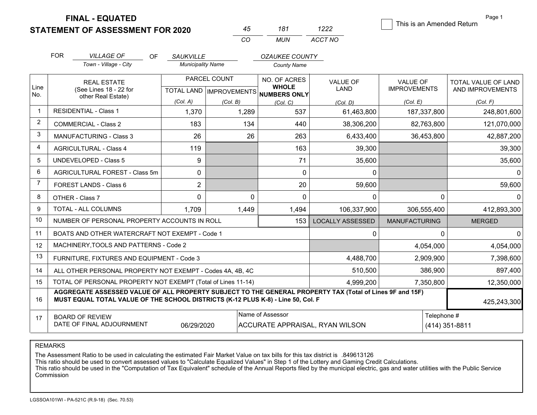**STATEMENT OF ASSESSMENT FOR 2020** 

|        |                 | ر ر          |
|--------|-----------------|--------------|
| 69 Y Y | 1 N J<br>87 A I | חות<br>ACC 1 |

This is an Amended Return

Page 1

|                |                                                                                                                                                                                              |                                                           |                               | CO.          | MUN                                                  | ACCT NO                                |                      |             |                            |
|----------------|----------------------------------------------------------------------------------------------------------------------------------------------------------------------------------------------|-----------------------------------------------------------|-------------------------------|--------------|------------------------------------------------------|----------------------------------------|----------------------|-------------|----------------------------|
|                | <b>FOR</b>                                                                                                                                                                                   | <b>VILLAGE OF</b>                                         | <b>OF</b><br><b>SAUKVILLE</b> |              | <b>OZAUKEE COUNTY</b>                                |                                        |                      |             |                            |
|                |                                                                                                                                                                                              | Town - Village - City                                     | <b>Municipality Name</b>      |              | <b>County Name</b>                                   |                                        |                      |             |                            |
|                |                                                                                                                                                                                              | <b>REAL ESTATE</b>                                        |                               | PARCEL COUNT | NO. OF ACRES                                         | <b>VALUE OF</b>                        | <b>VALUE OF</b>      |             | <b>TOTAL VALUE OF LAND</b> |
| Line<br>No.    |                                                                                                                                                                                              | (See Lines 18 - 22 for<br>other Real Estate)              |                               |              | <b>WHOLE</b><br>TOTAL LAND IMPROVEMENTS NUMBERS ONLY | <b>LAND</b>                            | <b>IMPROVEMENTS</b>  |             | AND IMPROVEMENTS           |
|                |                                                                                                                                                                                              |                                                           | (Col. A)                      | (Col. B)     | (Col, C)                                             | (Col. D)                               | (Col. E)             |             | (Col, F)                   |
| -1             |                                                                                                                                                                                              | <b>RESIDENTIAL - Class 1</b>                              | 1,370                         | 1,289        | 537                                                  | 61,463,800                             |                      | 187,337,800 | 248,801,600                |
| $\overline{2}$ |                                                                                                                                                                                              | <b>COMMERCIAL - Class 2</b>                               | 183                           | 134          | 440                                                  | 38,306,200                             |                      | 82,763,800  | 121,070,000                |
| 3              |                                                                                                                                                                                              | <b>MANUFACTURING - Class 3</b>                            | 26                            | 26           | 263                                                  | 6,433,400                              |                      | 36,453,800  | 42,887,200                 |
| $\overline{4}$ |                                                                                                                                                                                              | <b>AGRICULTURAL - Class 4</b>                             | 119                           |              | 163                                                  | 39,300                                 |                      |             | 39,300                     |
| 5              |                                                                                                                                                                                              | <b>UNDEVELOPED - Class 5</b>                              | 9                             |              | 71                                                   | 35,600                                 |                      |             | 35,600                     |
| 6              |                                                                                                                                                                                              | AGRICULTURAL FOREST - Class 5m                            | $\mathbf 0$                   |              | $\mathbf 0$                                          | $\mathbf{0}$                           |                      |             | 0                          |
| $\overline{7}$ |                                                                                                                                                                                              | FOREST LANDS - Class 6                                    | $\overline{2}$                |              | 20                                                   | 59,600                                 |                      |             | 59,600                     |
| 8              |                                                                                                                                                                                              | OTHER - Class 7                                           | $\mathbf 0$                   | 0            | $\mathbf 0$                                          | $\mathbf{0}$                           |                      | $\Omega$    | 0                          |
| 9              |                                                                                                                                                                                              | TOTAL - ALL COLUMNS                                       | 1,709                         | 1,449        | 1,494                                                | 106,337,900                            |                      | 306,555,400 | 412,893,300                |
| 10             |                                                                                                                                                                                              | NUMBER OF PERSONAL PROPERTY ACCOUNTS IN ROLL              |                               |              | 153                                                  | <b>LOCALLY ASSESSED</b>                | <b>MANUFACTURING</b> |             | <b>MERGED</b>              |
| 11             |                                                                                                                                                                                              | BOATS AND OTHER WATERCRAFT NOT EXEMPT - Code 1            |                               |              |                                                      |                                        |                      | 0           | <sup>0</sup>               |
| 12             |                                                                                                                                                                                              | MACHINERY, TOOLS AND PATTERNS - Code 2                    |                               |              |                                                      |                                        |                      | 4,054,000   | 4,054,000                  |
| 13             |                                                                                                                                                                                              | FURNITURE, FIXTURES AND EQUIPMENT - Code 3                |                               |              |                                                      | 4,488,700                              |                      | 2,909,900   | 7,398,600                  |
| 14             |                                                                                                                                                                                              | ALL OTHER PERSONAL PROPERTY NOT EXEMPT - Codes 4A, 4B, 4C |                               | 510,500      |                                                      | 386,900                                | 897,400              |             |                            |
| 15             | TOTAL OF PERSONAL PROPERTY NOT EXEMPT (Total of Lines 11-14)<br>4,999,200<br>7,350,800                                                                                                       |                                                           |                               |              |                                                      |                                        |                      | 12,350,000  |                            |
| 16             | AGGREGATE ASSESSED VALUE OF ALL PROPERTY SUBJECT TO THE GENERAL PROPERTY TAX (Total of Lines 9F and 15F)<br>MUST EQUAL TOTAL VALUE OF THE SCHOOL DISTRICTS (K-12 PLUS K-8) - Line 50, Col. F |                                                           |                               |              |                                                      |                                        |                      | 425,243,300 |                            |
| 17             |                                                                                                                                                                                              | <b>BOARD OF REVIEW</b><br>DATE OF FINAL ADJOURNMENT       | 06/29/2020                    |              | Name of Assessor                                     | <b>ACCURATE APPRAISAL, RYAN WILSON</b> |                      | Telephone # | (414) 351-8811             |

REMARKS

The Assessment Ratio to be used in calculating the estimated Fair Market Value on tax bills for this tax district is .849613126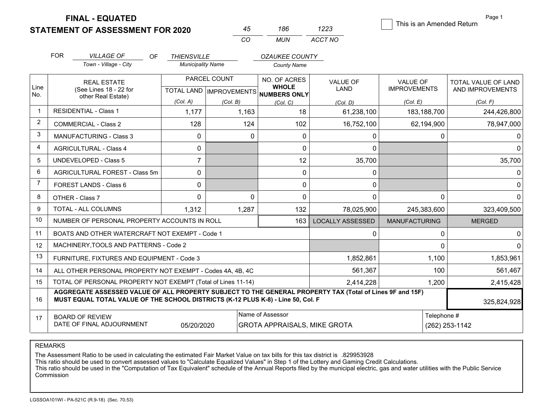**STATEMENT OF ASSESSMENT FOR 2020** 

| 45 | 186 | 1223    |
|----|-----|---------|
| CO | MUN | ACCT NO |

This is an Amended Return

Page 1

|                | <b>FOR</b>                                                   | <b>VILLAGE OF</b>                                                                                                                                                                            | OF. | <b>THIENSVILLE</b>       |              | <b>OZAUKEE COUNTY</b>                                |                         |                      |                     |
|----------------|--------------------------------------------------------------|----------------------------------------------------------------------------------------------------------------------------------------------------------------------------------------------|-----|--------------------------|--------------|------------------------------------------------------|-------------------------|----------------------|---------------------|
|                |                                                              | Town - Village - City                                                                                                                                                                        |     | <b>Municipality Name</b> |              | <b>County Name</b>                                   |                         |                      |                     |
|                |                                                              | <b>REAL ESTATE</b>                                                                                                                                                                           |     |                          | PARCEL COUNT | NO. OF ACRES                                         | <b>VALUE OF</b>         | <b>VALUE OF</b>      | TOTAL VALUE OF LAND |
| Line<br>No.    |                                                              | (See Lines 18 - 22 for<br>other Real Estate)                                                                                                                                                 |     |                          |              | <b>WHOLE</b><br>TOTAL LAND IMPROVEMENTS NUMBERS ONLY | LAND                    | <b>IMPROVEMENTS</b>  | AND IMPROVEMENTS    |
|                |                                                              |                                                                                                                                                                                              |     | (Col. A)                 | (Col. B)     | (Col, C)                                             | (Col, D)                | (Col, E)             | (Col. F)            |
|                |                                                              | <b>RESIDENTIAL - Class 1</b>                                                                                                                                                                 |     | 1,177                    | 1,163        | 18                                                   | 61,238,100              | 183,188,700          | 244,426,800         |
| 2              |                                                              | <b>COMMERCIAL - Class 2</b>                                                                                                                                                                  |     | 128                      | 124          | 102                                                  | 16,752,100              | 62,194,900           | 78,947,000          |
| 3              |                                                              | <b>MANUFACTURING - Class 3</b>                                                                                                                                                               |     | 0                        | $\Omega$     | 0                                                    | n                       | 0                    |                     |
| 4              |                                                              | <b>AGRICULTURAL - Class 4</b>                                                                                                                                                                |     | 0                        |              | $\mathbf 0$                                          | $\Omega$                |                      | <sup>0</sup>        |
| 5              |                                                              | <b>UNDEVELOPED - Class 5</b>                                                                                                                                                                 |     | $\overline{7}$           |              | 12                                                   | 35,700                  |                      | 35,700              |
| 6              |                                                              | AGRICULTURAL FOREST - Class 5m                                                                                                                                                               |     | 0                        |              | 0                                                    | $\mathbf{0}$            |                      | $\Omega$            |
| $\overline{7}$ |                                                              | FOREST LANDS - Class 6                                                                                                                                                                       |     | 0                        |              | 0                                                    | $\mathbf{0}$            |                      | 0                   |
| 8              |                                                              | OTHER - Class 7                                                                                                                                                                              |     | $\Omega$                 | $\Omega$     | $\mathbf 0$                                          | $\Omega$                | 0                    | <sup>0</sup>        |
| 9              |                                                              | TOTAL - ALL COLUMNS                                                                                                                                                                          |     | 1,312                    | 1,287        | 132                                                  | 78,025,900              | 245,383,600          | 323,409,500         |
| 10             |                                                              | NUMBER OF PERSONAL PROPERTY ACCOUNTS IN ROLL                                                                                                                                                 |     |                          |              | 163                                                  | <b>LOCALLY ASSESSED</b> | <b>MANUFACTURING</b> | <b>MERGED</b>       |
| 11             |                                                              | BOATS AND OTHER WATERCRAFT NOT EXEMPT - Code 1                                                                                                                                               |     |                          |              |                                                      | ∩                       | 0                    |                     |
| 12             |                                                              | MACHINERY, TOOLS AND PATTERNS - Code 2                                                                                                                                                       |     |                          |              |                                                      |                         | 0                    |                     |
| 13             |                                                              | FURNITURE, FIXTURES AND EQUIPMENT - Code 3                                                                                                                                                   |     |                          |              |                                                      | 1,852,861               | 1,100                | 1,853,961           |
| 14             | ALL OTHER PERSONAL PROPERTY NOT EXEMPT - Codes 4A, 4B, 4C    |                                                                                                                                                                                              |     |                          |              | 561,367                                              | 100                     | 561,467              |                     |
| 15             | TOTAL OF PERSONAL PROPERTY NOT EXEMPT (Total of Lines 11-14) |                                                                                                                                                                                              |     |                          |              | 2,414,228                                            | 1,200                   | 2,415,428            |                     |
| 16             |                                                              | AGGREGATE ASSESSED VALUE OF ALL PROPERTY SUBJECT TO THE GENERAL PROPERTY TAX (Total of Lines 9F and 15F)<br>MUST EQUAL TOTAL VALUE OF THE SCHOOL DISTRICTS (K-12 PLUS K-8) - Line 50, Col. F |     |                          |              |                                                      |                         |                      | 325,824,928         |
| 17             |                                                              | <b>BOARD OF REVIEW</b>                                                                                                                                                                       |     |                          |              | Name of Assessor                                     | Telephone #             |                      |                     |
|                |                                                              | DATE OF FINAL ADJOURNMENT                                                                                                                                                                    |     | 05/20/2020               |              | <b>GROTA APPRAISALS, MIKE GROTA</b>                  |                         |                      | (262) 253-1142      |

REMARKS

The Assessment Ratio to be used in calculating the estimated Fair Market Value on tax bills for this tax district is .829953928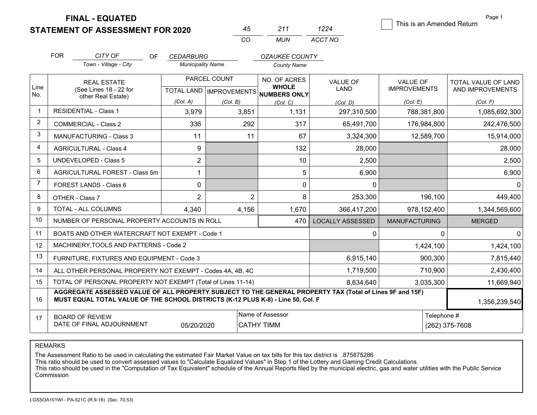**STATEMENT OF ASSESSMENT FOR 2020** 

| 45 | 211 | 1224    |
|----|-----|---------|
| CO | MUN | ACCT NO |

This is an Amended Return

Page 1

|                | <b>FOR</b>                                                                                                                                                                                   | CITY OF<br>OF.<br>Town - Village - City                   | <b>CEDARBURG</b><br><b>Municipality Name</b> |                           | <b>OZAUKEE COUNTY</b>                 |                         |                      |                     |
|----------------|----------------------------------------------------------------------------------------------------------------------------------------------------------------------------------------------|-----------------------------------------------------------|----------------------------------------------|---------------------------|---------------------------------------|-------------------------|----------------------|---------------------|
|                |                                                                                                                                                                                              |                                                           |                                              |                           | <b>County Name</b>                    |                         |                      |                     |
|                |                                                                                                                                                                                              | <b>REAL ESTATE</b>                                        |                                              | PARCEL COUNT              | NO. OF ACRES                          | <b>VALUE OF</b>         | <b>VALUE OF</b>      | TOTAL VALUE OF LAND |
| Line<br>No.    |                                                                                                                                                                                              | (See Lines 18 - 22 for<br>other Real Estate)              |                                              | TOTAL LAND   IMPROVEMENTS | <b>WHOLE</b><br>NUMBERS ONLY          | <b>LAND</b>             | <b>IMPROVEMENTS</b>  | AND IMPROVEMENTS    |
|                |                                                                                                                                                                                              |                                                           | (Col. A)                                     | (Col, B)                  | (Col, C)                              | (Col, D)                | (Col. E)             | (Col. F)            |
|                |                                                                                                                                                                                              | <b>RESIDENTIAL - Class 1</b>                              | 3,979                                        | 3,851                     | 1,131                                 | 297,310,500             | 788,381,800          | 1,085,692,300       |
| $\overline{2}$ |                                                                                                                                                                                              | <b>COMMERCIAL - Class 2</b>                               | 336                                          | 292                       | 317                                   | 65,491,700              | 176,984,800          | 242,476,500         |
| 3              |                                                                                                                                                                                              | <b>MANUFACTURING - Class 3</b>                            | 11                                           | 11                        | 67                                    | 3,324,300               | 12,589,700           | 15,914,000          |
| 4              |                                                                                                                                                                                              | <b>AGRICULTURAL - Class 4</b>                             | 9                                            |                           | 132                                   | 28,000                  |                      | 28,000              |
| 5              |                                                                                                                                                                                              | <b>UNDEVELOPED - Class 5</b>                              | $\overline{2}$                               |                           | 10                                    | 2,500                   |                      | 2,500               |
| 6              |                                                                                                                                                                                              | AGRICULTURAL FOREST - Class 5m                            | $\mathbf{1}$                                 |                           | 5                                     | 6,900                   |                      | 6,900               |
| 7              |                                                                                                                                                                                              | FOREST LANDS - Class 6                                    | $\mathbf 0$                                  |                           | 0                                     | $\Omega$                |                      | $\Omega$            |
| 8              |                                                                                                                                                                                              | OTHER - Class 7                                           | $\overline{2}$                               |                           | $\overline{2}$<br>8                   | 253,300                 | 196,100              | 449,400             |
| 9              |                                                                                                                                                                                              | TOTAL - ALL COLUMNS                                       | 4,340                                        | 4,156                     | 1,670                                 | 366,417,200             | 978,152,400          | 1,344,569,600       |
| 10             |                                                                                                                                                                                              | NUMBER OF PERSONAL PROPERTY ACCOUNTS IN ROLL              |                                              |                           | 470                                   | <b>LOCALLY ASSESSED</b> | <b>MANUFACTURING</b> | <b>MERGED</b>       |
| 11             |                                                                                                                                                                                              | BOATS AND OTHER WATERCRAFT NOT EXEMPT - Code 1            |                                              |                           |                                       | $\Omega$                | $\Omega$             | $\Omega$            |
| 12             |                                                                                                                                                                                              | MACHINERY, TOOLS AND PATTERNS - Code 2                    |                                              |                           |                                       |                         | 1,424,100            | 1,424,100           |
| 13             |                                                                                                                                                                                              | FURNITURE, FIXTURES AND EQUIPMENT - Code 3                |                                              |                           |                                       | 6,915,140               | 900,300              | 7,815,440           |
| 14             |                                                                                                                                                                                              | ALL OTHER PERSONAL PROPERTY NOT EXEMPT - Codes 4A, 4B, 4C |                                              |                           |                                       | 1,719,500               | 710,900              | 2,430,400           |
| 15             | TOTAL OF PERSONAL PROPERTY NOT EXEMPT (Total of Lines 11-14)                                                                                                                                 |                                                           |                                              |                           |                                       | 8,634,640               | 3,035,300            | 11,669,940          |
| 16             | AGGREGATE ASSESSED VALUE OF ALL PROPERTY SUBJECT TO THE GENERAL PROPERTY TAX (Total of Lines 9F and 15F)<br>MUST EQUAL TOTAL VALUE OF THE SCHOOL DISTRICTS (K-12 PLUS K-8) - Line 50, Col. F |                                                           |                                              |                           |                                       |                         |                      | 1,356,239,540       |
| 17             |                                                                                                                                                                                              | <b>BOARD OF REVIEW</b><br>DATE OF FINAL ADJOURNMENT       | 05/20/2020                                   |                           | Name of Assessor<br><b>CATHY TIMM</b> |                         | Telephone #          | (262) 375-7608      |

REMARKS

The Assessment Ratio to be used in calculating the estimated Fair Market Value on tax bills for this tax district is .875875286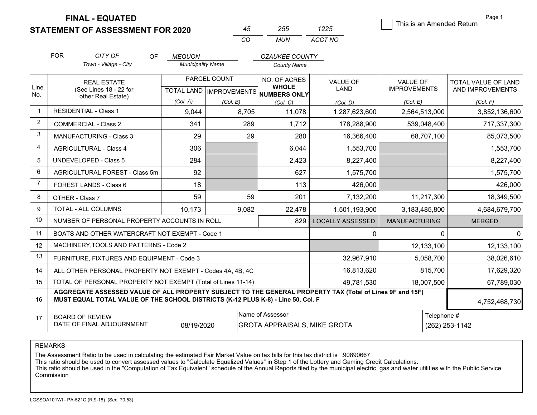**STATEMENT OF ASSESSMENT FOR 2020** 

|    | -255. | 1225    |
|----|-------|---------|
| ΓO | MUN.  | ACCT NO |

This is an Amended Return

Page 1

|                | <b>FOR</b>                                                                                                                                                                                   | CITY OF                                                   | OF | <b>MEQUON</b>            |                           | <b>OZAUKEE COUNTY</b>                                   |                         |                      |                               |
|----------------|----------------------------------------------------------------------------------------------------------------------------------------------------------------------------------------------|-----------------------------------------------------------|----|--------------------------|---------------------------|---------------------------------------------------------|-------------------------|----------------------|-------------------------------|
|                |                                                                                                                                                                                              | Town - Village - City                                     |    | <b>Municipality Name</b> |                           | <b>County Name</b>                                      |                         |                      |                               |
|                |                                                                                                                                                                                              | <b>REAL ESTATE</b>                                        |    |                          | PARCEL COUNT              | NO. OF ACRES                                            | <b>VALUE OF</b>         | <b>VALUE OF</b>      | TOTAL VALUE OF LAND           |
| Line<br>No.    |                                                                                                                                                                                              | (See Lines 18 - 22 for<br>other Real Estate)              |    |                          | TOTAL LAND   IMPROVEMENTS | <b>WHOLE</b><br><b>NUMBERS ONLY</b>                     | LAND                    | <b>IMPROVEMENTS</b>  | AND IMPROVEMENTS              |
|                |                                                                                                                                                                                              |                                                           |    | (Col. A)                 | (Col. B)                  | (Col. C)                                                | (Col. D)                | (Col. E)             | (Col. F)                      |
| $\mathbf{1}$   |                                                                                                                                                                                              | <b>RESIDENTIAL - Class 1</b>                              |    | 9,044                    | 8,705                     | 11,078                                                  | 1,287,623,600           | 2,564,513,000        | 3,852,136,600                 |
| $\overline{2}$ |                                                                                                                                                                                              | COMMERCIAL - Class 2                                      |    | 341                      | 289                       | 1,712                                                   | 178,288,900             | 539,048,400          | 717,337,300                   |
| 3              |                                                                                                                                                                                              | <b>MANUFACTURING - Class 3</b>                            |    | 29                       |                           | 29<br>280                                               | 16,366,400              | 68,707,100           | 85,073,500                    |
| $\overline{4}$ |                                                                                                                                                                                              | <b>AGRICULTURAL - Class 4</b>                             |    | 306                      |                           | 6.044                                                   | 1,553,700               |                      | 1,553,700                     |
| 5              |                                                                                                                                                                                              | <b>UNDEVELOPED - Class 5</b>                              |    | 284                      |                           | 2,423                                                   | 8,227,400               |                      | 8,227,400                     |
| 6              |                                                                                                                                                                                              | AGRICULTURAL FOREST - Class 5m                            |    | 92                       |                           | 627                                                     | 1,575,700               |                      | 1,575,700                     |
| $\overline{7}$ |                                                                                                                                                                                              | FOREST LANDS - Class 6                                    |    | 18                       |                           | 113                                                     | 426,000                 |                      | 426,000                       |
| 8              |                                                                                                                                                                                              | OTHER - Class 7                                           |    | 59                       |                           | 59<br>201                                               | 7,132,200               | 11,217,300           | 18,349,500                    |
| 9              |                                                                                                                                                                                              | TOTAL - ALL COLUMNS                                       |    | 10,173                   | 9,082                     | 22,478                                                  | 1,501,193,900           | 3,183,485,800        | 4,684,679,700                 |
| 10             |                                                                                                                                                                                              | NUMBER OF PERSONAL PROPERTY ACCOUNTS IN ROLL              |    |                          |                           | 829                                                     | <b>LOCALLY ASSESSED</b> | <b>MANUFACTURING</b> | <b>MERGED</b>                 |
| 11             |                                                                                                                                                                                              | BOATS AND OTHER WATERCRAFT NOT EXEMPT - Code 1            |    |                          |                           |                                                         | 0                       |                      | $\Omega$<br>$\Omega$          |
| 12             |                                                                                                                                                                                              | MACHINERY, TOOLS AND PATTERNS - Code 2                    |    |                          |                           |                                                         |                         | 12,133,100           | 12,133,100                    |
| 13             |                                                                                                                                                                                              | FURNITURE, FIXTURES AND EQUIPMENT - Code 3                |    |                          |                           |                                                         | 32,967,910              | 5,058,700            | 38,026,610                    |
| 14             |                                                                                                                                                                                              | ALL OTHER PERSONAL PROPERTY NOT EXEMPT - Codes 4A, 4B, 4C |    |                          |                           |                                                         | 16,813,620              | 815,700              | 17,629,320                    |
| 15             | TOTAL OF PERSONAL PROPERTY NOT EXEMPT (Total of Lines 11-14)                                                                                                                                 |                                                           |    |                          |                           | 49,781,530                                              | 18,007,500              | 67,789,030           |                               |
| 16             | AGGREGATE ASSESSED VALUE OF ALL PROPERTY SUBJECT TO THE GENERAL PROPERTY TAX (Total of Lines 9F and 15F)<br>MUST EQUAL TOTAL VALUE OF THE SCHOOL DISTRICTS (K-12 PLUS K-8) - Line 50, Col. F |                                                           |    |                          |                           |                                                         |                         |                      | 4,752,468,730                 |
| 17             |                                                                                                                                                                                              | <b>BOARD OF REVIEW</b><br>DATE OF FINAL ADJOURNMENT       |    | 08/19/2020               |                           | Name of Assessor<br><b>GROTA APPRAISALS, MIKE GROTA</b> |                         |                      | Telephone #<br>(262) 253-1142 |

REMARKS

The Assessment Ratio to be used in calculating the estimated Fair Market Value on tax bills for this tax district is .90890667<br>This ratio should be used to convert assessed values to "Calculate Equalized Values" in Step 1 Commission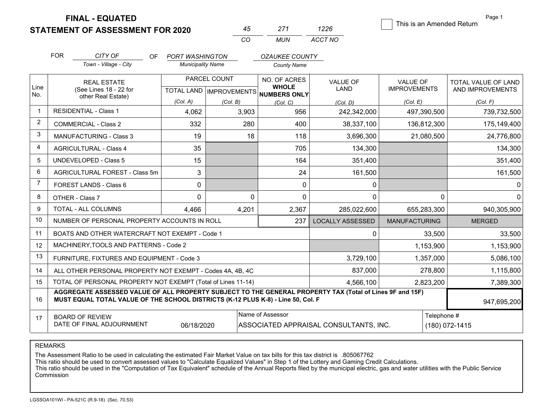**STATEMENT OF ASSESSMENT FOR 2020** 

|          |       | 1226    |
|----------|-------|---------|
| $\cdots$ | MI IN | ACCT NO |

This is an Amended Return

Page 1

|                |                                                                           |                                                                                  |           |                          |              | CO.     | MUN                                                  | ACCT NO                                                                                                  |                      |             |                            |
|----------------|---------------------------------------------------------------------------|----------------------------------------------------------------------------------|-----------|--------------------------|--------------|---------|------------------------------------------------------|----------------------------------------------------------------------------------------------------------|----------------------|-------------|----------------------------|
|                | <b>FOR</b>                                                                | CITY OF                                                                          | <b>OF</b> | <b>PORT WASHINGTON</b>   |              |         | <b>OZAUKEE COUNTY</b>                                |                                                                                                          |                      |             |                            |
|                |                                                                           | Town - Village - City                                                            |           | <b>Municipality Name</b> |              |         | <b>County Name</b>                                   |                                                                                                          |                      |             |                            |
|                |                                                                           | <b>REAL ESTATE</b>                                                               |           |                          | PARCEL COUNT |         | NO. OF ACRES                                         | <b>VALUE OF</b>                                                                                          | <b>VALUE OF</b>      |             | <b>TOTAL VALUE OF LAND</b> |
| Line<br>No.    |                                                                           | (See Lines 18 - 22 for<br>other Real Estate)                                     |           |                          |              |         | <b>WHOLE</b><br>TOTAL LAND IMPROVEMENTS NUMBERS ONLY | <b>LAND</b>                                                                                              | <b>IMPROVEMENTS</b>  |             | AND IMPROVEMENTS           |
|                |                                                                           |                                                                                  |           | (Col. A)                 | (Col. B)     |         | (Col, C)                                             | (Col, D)                                                                                                 | (Col, E)             |             | (Col, F)                   |
| $\overline{1}$ |                                                                           | <b>RESIDENTIAL - Class 1</b>                                                     |           | 4,062                    |              | 3,903   | 956                                                  | 242,342,000                                                                                              |                      | 497,390,500 | 739,732,500                |
| $\overline{2}$ |                                                                           | <b>COMMERCIAL - Class 2</b>                                                      |           | 332                      |              | 280     | 400                                                  | 38,337,100                                                                                               |                      | 136,812,300 | 175,149,400                |
| 3              |                                                                           | <b>MANUFACTURING - Class 3</b>                                                   |           | 19                       |              | 18      | 118                                                  | 3,696,300                                                                                                |                      | 21,080,500  | 24,776,800                 |
| $\overline{4}$ |                                                                           | <b>AGRICULTURAL - Class 4</b>                                                    |           | 35                       |              |         | 705                                                  | 134,300                                                                                                  |                      |             | 134,300                    |
| 5              |                                                                           | UNDEVELOPED - Class 5                                                            |           | 15                       |              |         | 164                                                  | 351,400                                                                                                  |                      |             | 351,400                    |
| 6              |                                                                           | AGRICULTURAL FOREST - Class 5m                                                   |           | 3                        |              |         | 24                                                   | 161,500                                                                                                  |                      |             | 161,500                    |
| $\overline{7}$ |                                                                           | FOREST LANDS - Class 6                                                           |           | 0                        |              |         | $\Omega$                                             | 0                                                                                                        |                      |             |                            |
| 8              |                                                                           | OTHER - Class 7                                                                  |           | $\mathbf 0$              |              | 0       | $\mathbf 0$                                          | 0                                                                                                        |                      | 0           | $\Omega$                   |
| 9              |                                                                           | TOTAL - ALL COLUMNS                                                              |           | 4,466                    |              | 4,201   | 2,367                                                | 285,022,600                                                                                              |                      | 655,283,300 | 940,305,900                |
| 10             |                                                                           | NUMBER OF PERSONAL PROPERTY ACCOUNTS IN ROLL                                     |           |                          |              |         | 237                                                  | <b>LOCALLY ASSESSED</b>                                                                                  | <b>MANUFACTURING</b> |             | <b>MERGED</b>              |
| 11             |                                                                           | BOATS AND OTHER WATERCRAFT NOT EXEMPT - Code 1                                   |           |                          |              |         |                                                      | 0                                                                                                        |                      | 33,500      | 33,500                     |
| 12             |                                                                           | MACHINERY, TOOLS AND PATTERNS - Code 2                                           |           |                          |              |         |                                                      |                                                                                                          |                      | 1,153,900   | 1,153,900                  |
| 13             |                                                                           | FURNITURE, FIXTURES AND EQUIPMENT - Code 3                                       |           |                          |              |         |                                                      | 3,729,100                                                                                                |                      | 1,357,000   | 5,086,100                  |
| 14             | ALL OTHER PERSONAL PROPERTY NOT EXEMPT - Codes 4A, 4B, 4C                 |                                                                                  |           |                          |              | 837,000 |                                                      | 278,800                                                                                                  | 1,115,800            |             |                            |
| 15             | TOTAL OF PERSONAL PROPERTY NOT EXEMPT (Total of Lines 11-14)<br>4,566,100 |                                                                                  |           |                          |              |         | 2,823,200                                            | 7,389,300                                                                                                |                      |             |                            |
| 16             |                                                                           | MUST EQUAL TOTAL VALUE OF THE SCHOOL DISTRICTS (K-12 PLUS K-8) - Line 50, Col. F |           |                          |              |         |                                                      | AGGREGATE ASSESSED VALUE OF ALL PROPERTY SUBJECT TO THE GENERAL PROPERTY TAX (Total of Lines 9F and 15F) |                      |             | 947,695,200                |
| 17             |                                                                           | <b>BOARD OF REVIEW</b><br>DATE OF FINAL ADJOURNMENT                              |           | 06/18/2020               |              |         | Name of Assessor                                     | ASSOCIATED APPRAISAL CONSULTANTS, INC.                                                                   |                      | Telephone # | (180) 072-1415             |

REMARKS

The Assessment Ratio to be used in calculating the estimated Fair Market Value on tax bills for this tax district is …805067762<br>This ratio should be used to convert assessed values to "Calculate Equalized Values" in Step 1 Commission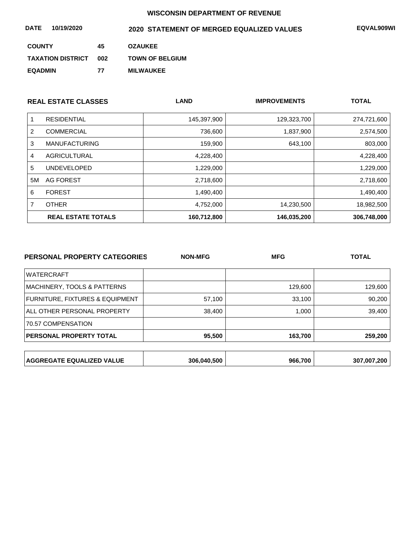| DATE<br>10/19/2020       |     | 2020 STATEMENT OF MERGED EQUALIZED VALUES | <b>EQVAL909WI</b> |
|--------------------------|-----|-------------------------------------------|-------------------|
| <b>COUNTY</b>            | 45  | <b>OZAUKEE</b>                            |                   |
| <b>TAXATION DISTRICT</b> | 002 | <b>TOWN OF BELGIUM</b>                    |                   |
| <b>EQADMIN</b>           | 77  | <b>MILWAUKEE</b>                          |                   |

|    | <b>REAL ESTATE CLASSES</b> | <b>LAND</b> | <b>IMPROVEMENTS</b> | <b>TOTAL</b> |
|----|----------------------------|-------------|---------------------|--------------|
|    | <b>RESIDENTIAL</b>         | 145,397,900 | 129,323,700         | 274,721,600  |
| 2  | <b>COMMERCIAL</b>          | 736,600     | 1,837,900           | 2,574,500    |
| 3  | <b>MANUFACTURING</b>       | 159,900     | 643,100             | 803,000      |
| 4  | AGRICULTURAL               | 4,228,400   |                     | 4,228,400    |
| 5  | <b>UNDEVELOPED</b>         | 1,229,000   |                     | 1,229,000    |
| 5M | AG FOREST                  | 2,718,600   |                     | 2,718,600    |
| 6  | <b>FOREST</b>              | 1,490,400   |                     | 1,490,400    |
| 7  | <b>OTHER</b>               | 4,752,000   | 14,230,500          | 18,982,500   |
|    | <b>REAL ESTATE TOTALS</b>  | 160,712,800 | 146,035,200         | 306,748,000  |

| PERSONAL PROPERTY CATEGORIES               | <b>NON-MFG</b> | <b>MFG</b> | <b>TOTAL</b> |
|--------------------------------------------|----------------|------------|--------------|
| <b>WATERCRAFT</b>                          |                |            |              |
| <b>MACHINERY, TOOLS &amp; PATTERNS</b>     |                | 129,600    | 129,600      |
| <b>FURNITURE, FIXTURES &amp; EQUIPMENT</b> | 57,100         | 33,100     | 90,200       |
| ALL OTHER PERSONAL PROPERTY                | 38,400         | 1,000      | 39,400       |
| 70.57 COMPENSATION                         |                |            |              |
| <b>PERSONAL PROPERTY TOTAL</b>             | 95,500         | 163,700    | 259,200      |
|                                            |                |            |              |
| <b>AGGREGATE EQUALIZED VALUE</b>           | 306,040,500    | 966.700    | 307,007,200  |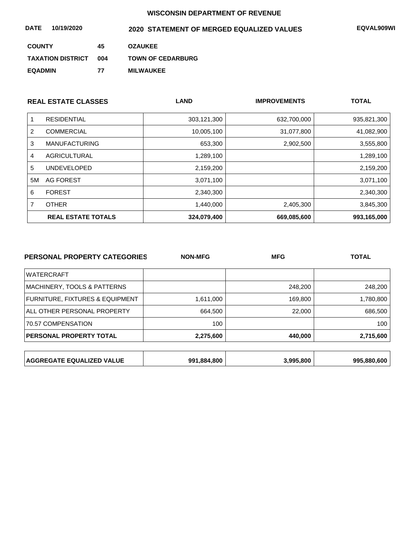| 10/19/2020<br><b>DATE</b> |     | 2020 STATEMENT OF MERGED EQUALIZED VALUES | EQVAL909WI |
|---------------------------|-----|-------------------------------------------|------------|
| <b>COUNTY</b>             | 45  | <b>OZAUKEE</b>                            |            |
| <b>TAXATION DISTRICT</b>  | 004 | <b>TOWN OF CEDARBURG</b>                  |            |
| <b>EQADMIN</b>            | 77  | <b>MILWAUKEE</b>                          |            |

|    | <b>REAL ESTATE CLASSES</b> | <b>LAND</b> | <b>IMPROVEMENTS</b> | <b>TOTAL</b> |
|----|----------------------------|-------------|---------------------|--------------|
|    | <b>RESIDENTIAL</b>         | 303,121,300 | 632,700,000         | 935,821,300  |
| 2  | <b>COMMERCIAL</b>          | 10,005,100  | 31,077,800          | 41,082,900   |
| 3  | <b>MANUFACTURING</b>       | 653,300     | 2,902,500           | 3,555,800    |
| 4  | AGRICULTURAL               | 1,289,100   |                     | 1,289,100    |
| 5  | <b>UNDEVELOPED</b>         | 2,159,200   |                     | 2,159,200    |
| 5M | AG FOREST                  | 3,071,100   |                     | 3,071,100    |
| 6  | <b>FOREST</b>              | 2,340,300   |                     | 2,340,300    |
|    | <b>OTHER</b>               | 1,440,000   | 2,405,300           | 3,845,300    |
|    | <b>REAL ESTATE TOTALS</b>  | 324,079,400 | 669,085,600         | 993,165,000  |

| PERSONAL PROPERTY CATEGORIES     | <b>NON-MFG</b> | <b>MFG</b> | <b>TOTAL</b> |  |
|----------------------------------|----------------|------------|--------------|--|
| <b>WATERCRAFT</b>                |                |            |              |  |
| MACHINERY, TOOLS & PATTERNS      |                | 248,200    | 248,200      |  |
| FURNITURE, FIXTURES & EQUIPMENT  | 1,611,000      | 169,800    | 1,780,800    |  |
| ALL OTHER PERSONAL PROPERTY      | 664,500        | 22,000     | 686,500      |  |
| 70.57 COMPENSATION               | 100            |            | 100          |  |
| <b>PERSONAL PROPERTY TOTAL</b>   | 2,275,600      | 440,000    | 2,715,600    |  |
|                                  |                |            |              |  |
| <b>AGGREGATE EQUALIZED VALUE</b> | 991,884,800    | 3,995,800  | 995,880,600  |  |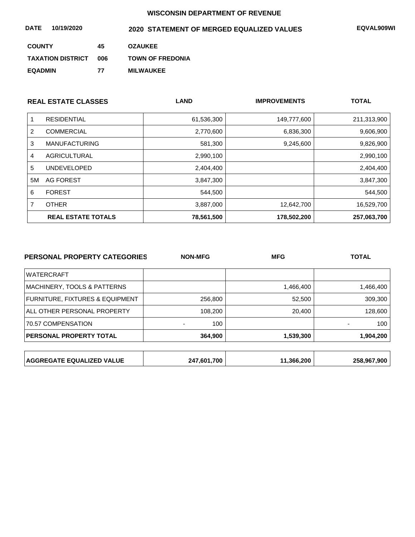| DATE<br>10/19/2020       |     | 2020 STATEMENT OF MERGED EQUALIZED VALUES | <b>EQVAL909WI</b> |
|--------------------------|-----|-------------------------------------------|-------------------|
| <b>COUNTY</b>            | 45  | <b>OZAUKEE</b>                            |                   |
| <b>TAXATION DISTRICT</b> | 006 | <b>TOWN OF FREDONIA</b>                   |                   |
| <b>EQADMIN</b>           | 77  | <b>MILWAUKEE</b>                          |                   |

|    | <b>REAL ESTATE CLASSES</b> | <b>LAND</b> | <b>IMPROVEMENTS</b> | <b>TOTAL</b> |
|----|----------------------------|-------------|---------------------|--------------|
|    | <b>RESIDENTIAL</b>         | 61,536,300  | 149,777,600         | 211,313,900  |
| 2  | <b>COMMERCIAL</b>          | 2,770,600   | 6,836,300           | 9,606,900    |
| 3  | <b>MANUFACTURING</b>       | 581,300     | 9,245,600           | 9,826,900    |
| 4  | AGRICULTURAL               | 2,990,100   |                     | 2,990,100    |
| 5  | <b>UNDEVELOPED</b>         | 2,404,400   |                     | 2,404,400    |
| 5M | AG FOREST                  | 3,847,300   |                     | 3,847,300    |
| 6  | <b>FOREST</b>              | 544,500     |                     | 544,500      |
|    | <b>OTHER</b>               | 3,887,000   | 12,642,700          | 16,529,700   |
|    | <b>REAL ESTATE TOTALS</b>  | 78,561,500  | 178,502,200         | 257,063,700  |

| <b>PERSONAL PROPERTY CATEGORIES</b> | <b>NON-MFG</b> | <b>MFG</b> | <b>TOTAL</b> |
|-------------------------------------|----------------|------------|--------------|
| <b>WATERCRAFT</b>                   |                |            |              |
| MACHINERY, TOOLS & PATTERNS         |                | 1,466,400  | 1,466,400    |
| FURNITURE, FIXTURES & EQUIPMENT     | 256,800        | 52,500     | 309,300      |
| ALL OTHER PERSONAL PROPERTY         | 108,200        | 20,400     | 128,600      |
| 70.57 COMPENSATION                  | 100            |            | 100          |
| PERSONAL PROPERTY TOTAL             | 364,900        | 1,539,300  | 1,904,200    |
|                                     |                |            |              |
| <b>AGGREGATE EQUALIZED VALUE</b>    | 247,601,700    | 11,366,200 | 258,967,900  |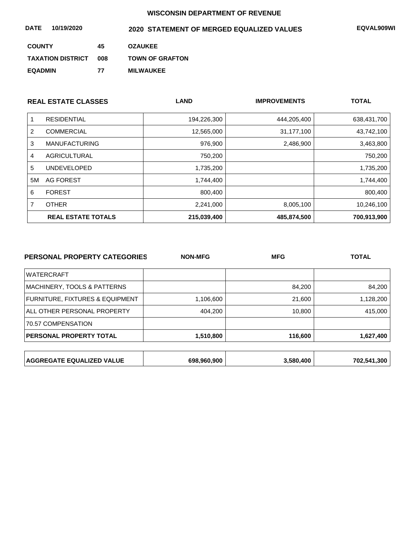| DATE<br>10/19/2020       |     | 2020 STATEMENT OF MERGED EQUALIZED VALUES | <b>EQVAL909WI</b> |
|--------------------------|-----|-------------------------------------------|-------------------|
| <b>COUNTY</b>            | 45  | <b>OZAUKEE</b>                            |                   |
| <b>TAXATION DISTRICT</b> | 008 | <b>TOWN OF GRAFTON</b>                    |                   |
| <b>EQADMIN</b>           | 77  | <b>MILWAUKEE</b>                          |                   |

|    | <b>REAL ESTATE CLASSES</b> | <b>LAND</b> | <b>IMPROVEMENTS</b> | <b>TOTAL</b> |
|----|----------------------------|-------------|---------------------|--------------|
|    | <b>RESIDENTIAL</b>         | 194,226,300 | 444,205,400         | 638,431,700  |
| 2  | <b>COMMERCIAL</b>          | 12,565,000  | 31,177,100          | 43,742,100   |
| 3  | <b>MANUFACTURING</b>       | 976,900     | 2,486,900           | 3,463,800    |
| 4  | AGRICULTURAL               | 750,200     |                     | 750,200      |
| 5  | <b>UNDEVELOPED</b>         | 1,735,200   |                     | 1,735,200    |
| 5M | <b>AG FOREST</b>           | 1,744,400   |                     | 1,744,400    |
| 6  | <b>FOREST</b>              | 800,400     |                     | 800,400      |
|    | <b>OTHER</b>               | 2,241,000   | 8,005,100           | 10,246,100   |
|    | <b>REAL ESTATE TOTALS</b>  | 215,039,400 | 485,874,500         | 700,913,900  |

| <b>PERSONAL PROPERTY CATEGORIES</b> | <b>NON-MFG</b> | <b>MFG</b> | <b>TOTAL</b> |
|-------------------------------------|----------------|------------|--------------|
| <b>WATERCRAFT</b>                   |                |            |              |
| MACHINERY, TOOLS & PATTERNS         |                | 84,200     | 84,200       |
| FURNITURE, FIXTURES & EQUIPMENT     | 1,106,600      | 21,600     | 1,128,200    |
| ALL OTHER PERSONAL PROPERTY         | 404,200        | 10,800     | 415,000      |
| 70.57 COMPENSATION                  |                |            |              |
| PERSONAL PROPERTY TOTAL             | 1,510,800      | 116,600    | 1,627,400    |
|                                     |                |            |              |
| AGGREGATE EQUALIZED VALUE           | 698,960,900    | 3,580,400  | 702,541,300  |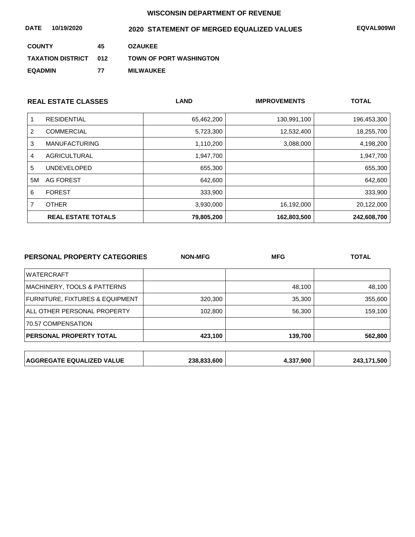| DATE<br>10/19/2020       |     | 2020 STATEMENT OF MERGED EQUALIZED VALUES | <b>EQVAL909WI</b> |
|--------------------------|-----|-------------------------------------------|-------------------|
| <b>COUNTY</b>            | 45  | <b>OZAUKEE</b>                            |                   |
| <b>TAXATION DISTRICT</b> | 012 | <b>TOWN OF PORT WASHINGTON</b>            |                   |
| <b>EQADMIN</b>           | 77  | <b>MILWAUKEE</b>                          |                   |

|    | <b>REAL ESTATE CLASSES</b> | <b>LAND</b> | <b>IMPROVEMENTS</b> | <b>TOTAL</b> |
|----|----------------------------|-------------|---------------------|--------------|
|    | <b>RESIDENTIAL</b>         | 65,462,200  | 130,991,100         | 196,453,300  |
| 2  | <b>COMMERCIAL</b>          | 5,723,300   | 12,532,400          | 18,255,700   |
| 3  | <b>MANUFACTURING</b>       | 1,110,200   | 3,088,000           | 4,198,200    |
| 4  | AGRICULTURAL               | 1,947,700   |                     | 1,947,700    |
| 5  | <b>UNDEVELOPED</b>         | 655,300     |                     | 655,300      |
| 5M | AG FOREST                  | 642,600     |                     | 642,600      |
| 6  | <b>FOREST</b>              | 333,900     |                     | 333,900      |
|    | <b>OTHER</b>               | 3,930,000   | 16,192,000          | 20,122,000   |
|    | <b>REAL ESTATE TOTALS</b>  | 79,805,200  | 162,803,500         | 242,608,700  |

| PERSONAL PROPERTY CATEGORIES     | <b>NON-MFG</b> | <b>MFG</b> | <b>TOTAL</b> |
|----------------------------------|----------------|------------|--------------|
| <b>WATERCRAFT</b>                |                |            |              |
| MACHINERY, TOOLS & PATTERNS      |                | 48,100     | 48,100       |
| FURNITURE, FIXTURES & EQUIPMENT  | 320,300        | 35,300     | 355,600      |
| ALL OTHER PERSONAL PROPERTY      | 102,800        | 56,300     | 159,100      |
| 70.57 COMPENSATION               |                |            |              |
| PERSONAL PROPERTY TOTAL          | 423,100        | 139,700    | 562,800      |
|                                  |                |            |              |
| <b>AGGREGATE EQUALIZED VALUE</b> | 238,833,600    | 4,337,900  | 243,171,500  |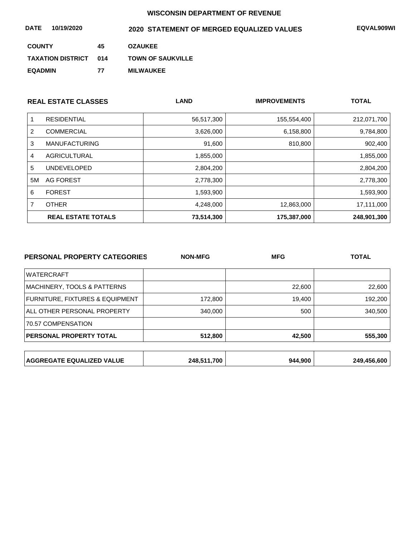| <b>DATE</b><br>10/19/2020 |     | 2020 STATEMENT OF MERGED EQUALIZED VALUES | <b>EQVAL909WI</b> |
|---------------------------|-----|-------------------------------------------|-------------------|
| <b>COUNTY</b>             | 45  | <b>OZAUKEE</b>                            |                   |
| <b>TAXATION DISTRICT</b>  | 014 | <b>TOWN OF SAUKVILLE</b>                  |                   |
| <b>EQADMIN</b>            | 77  | <b>MILWAUKEE</b>                          |                   |

|    | <b>REAL ESTATE CLASSES</b> | <b>LAND</b> | <b>IMPROVEMENTS</b> | <b>TOTAL</b> |
|----|----------------------------|-------------|---------------------|--------------|
|    | <b>RESIDENTIAL</b>         | 56,517,300  | 155,554,400         | 212,071,700  |
| 2  | <b>COMMERCIAL</b>          | 3,626,000   | 6,158,800           | 9,784,800    |
| 3  | <b>MANUFACTURING</b>       | 91,600      | 810,800             | 902,400      |
| 4  | AGRICULTURAL               | 1,855,000   |                     | 1,855,000    |
| 5  | <b>UNDEVELOPED</b>         | 2,804,200   |                     | 2,804,200    |
| 5M | AG FOREST                  | 2,778,300   |                     | 2,778,300    |
| 6  | <b>FOREST</b>              | 1,593,900   |                     | 1,593,900    |
|    | <b>OTHER</b>               | 4,248,000   | 12,863,000          | 17,111,000   |
|    | <b>REAL ESTATE TOTALS</b>  | 73,514,300  | 175,387,000         | 248,901,300  |

| PERSONAL PROPERTY CATEGORIES     | <b>NON-MFG</b> | <b>MFG</b> | <b>TOTAL</b> |
|----------------------------------|----------------|------------|--------------|
| <b>WATERCRAFT</b>                |                |            |              |
| MACHINERY, TOOLS & PATTERNS      |                | 22,600     | 22,600       |
| FURNITURE, FIXTURES & EQUIPMENT  | 172,800        | 19,400     | 192,200      |
| ALL OTHER PERSONAL PROPERTY      | 340,000        | 500        | 340,500      |
| 70.57 COMPENSATION               |                |            |              |
| <b>PERSONAL PROPERTY TOTAL</b>   | 512,800        | 42,500     | 555,300      |
|                                  |                |            |              |
| <b>AGGREGATE EQUALIZED VALUE</b> | 248,511,700    | 944,900    | 249,456,600  |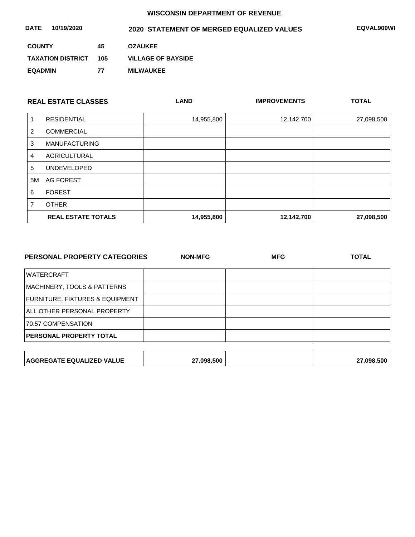| DATE<br>10/19/2020       |     | 2020 STATEMENT OF MERGED EQUALIZED VALUES | <b>EQVAL909WI</b> |
|--------------------------|-----|-------------------------------------------|-------------------|
| <b>COUNTY</b>            | 45  | <b>OZAUKEE</b>                            |                   |
| <b>TAXATION DISTRICT</b> | 105 | <b>VILLAGE OF BAYSIDE</b>                 |                   |
| <b>EQADMIN</b>           | 77  | <b>MILWAUKEE</b>                          |                   |

|    | <b>REAL ESTATE CLASSES</b> | <b>LAND</b> | <b>IMPROVEMENTS</b> | <b>TOTAL</b> |
|----|----------------------------|-------------|---------------------|--------------|
|    | <b>RESIDENTIAL</b>         | 14,955,800  | 12,142,700          | 27,098,500   |
| 2  | <b>COMMERCIAL</b>          |             |                     |              |
| 3  | <b>MANUFACTURING</b>       |             |                     |              |
| 4  | <b>AGRICULTURAL</b>        |             |                     |              |
| 5  | <b>UNDEVELOPED</b>         |             |                     |              |
| 5M | AG FOREST                  |             |                     |              |
| 6  | <b>FOREST</b>              |             |                     |              |
|    | <b>OTHER</b>               |             |                     |              |
|    | <b>REAL ESTATE TOTALS</b>  | 14,955,800  | 12,142,700          | 27,098,500   |

| PERSONAL PROPERTY CATEGORIES    | <b>NON-MFG</b> | <b>MFG</b> | <b>TOTAL</b> |  |
|---------------------------------|----------------|------------|--------------|--|
| <b>WATERCRAFT</b>               |                |            |              |  |
| MACHINERY, TOOLS & PATTERNS     |                |            |              |  |
| FURNITURE, FIXTURES & EQUIPMENT |                |            |              |  |
| ALL OTHER PERSONAL PROPERTY     |                |            |              |  |
| 70.57 COMPENSATION              |                |            |              |  |
| PERSONAL PROPERTY TOTAL         |                |            |              |  |
|                                 |                |            |              |  |
|                                 |                |            |              |  |

| <b>AGGREGATE EQUALIZED VALUE</b> | 27,098,500 |  | 27,098,500 |
|----------------------------------|------------|--|------------|
|----------------------------------|------------|--|------------|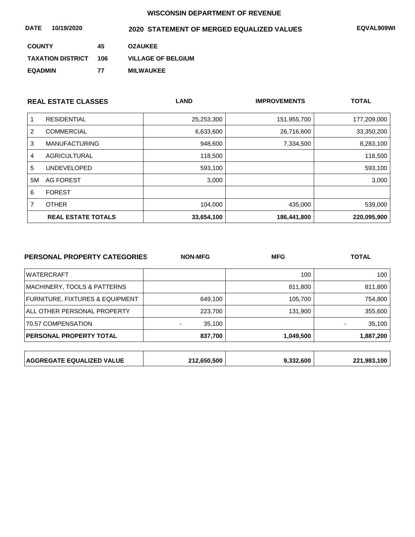| <b>DATE</b><br>10/19/2020 |     | 2020 STATEMENT OF MERGED EQUALIZED VALUES | <b>EQVAL909WI</b> |
|---------------------------|-----|-------------------------------------------|-------------------|
| <b>COUNTY</b>             | 45  | <b>OZAUKEE</b>                            |                   |
| <b>TAXATION DISTRICT</b>  | 106 | <b>VILLAGE OF BELGIUM</b>                 |                   |
| <b>EQADMIN</b>            | 77  | <b>MILWAUKEE</b>                          |                   |

|    | <b>REAL ESTATE CLASSES</b> | <b>LAND</b> | <b>IMPROVEMENTS</b> | <b>TOTAL</b> |
|----|----------------------------|-------------|---------------------|--------------|
|    | <b>RESIDENTIAL</b>         | 25,253,300  | 151,955,700         | 177,209,000  |
| 2  | <b>COMMERCIAL</b>          | 6,633,600   | 26,716,600          | 33,350,200   |
| 3  | <b>MANUFACTURING</b>       | 948,600     | 7,334,500           | 8,283,100    |
| 4  | <b>AGRICULTURAL</b>        | 118,500     |                     | 118,500      |
| 5  | <b>UNDEVELOPED</b>         | 593,100     |                     | 593,100      |
| 5M | AG FOREST                  | 3,000       |                     | 3,000        |
| 6  | <b>FOREST</b>              |             |                     |              |
|    | <b>OTHER</b>               | 104,000     | 435,000             | 539,000      |
|    | <b>REAL ESTATE TOTALS</b>  | 33,654,100  | 186.441.800         | 220,095,900  |

| PERSONAL PROPERTY CATEGORIES     | <b>NON-MFG</b> | <b>MFG</b> | <b>TOTAL</b> |  |
|----------------------------------|----------------|------------|--------------|--|
| <b>WATERCRAFT</b>                |                | 100        | 100          |  |
| MACHINERY, TOOLS & PATTERNS      |                | 811,800    | 811,800      |  |
| FURNITURE, FIXTURES & EQUIPMENT  | 649,100        | 105,700    | 754,800      |  |
| ALL OTHER PERSONAL PROPERTY      | 223,700        | 131,900    | 355,600      |  |
| 70.57 COMPENSATION               | 35,100         |            | 35,100       |  |
| <b>PERSONAL PROPERTY TOTAL</b>   | 837,700        | 1,049,500  | 1,887,200    |  |
|                                  |                |            |              |  |
| <b>AGGREGATE EQUALIZED VALUE</b> | 212,650,500    | 9,332,600  | 221,983,100  |  |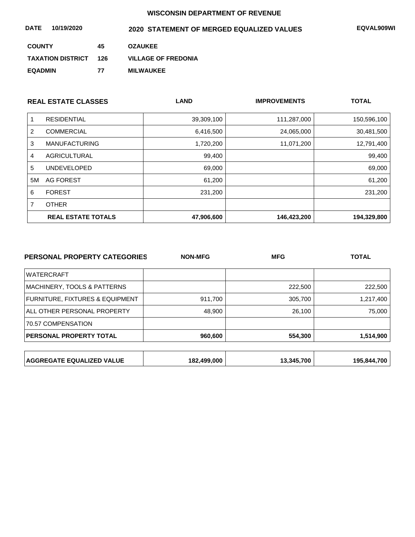| DATE<br>10/19/2020       |     | 2020 STATEMENT OF MERGED EQUALIZED VALUES | <b>EQVAL909WI</b> |
|--------------------------|-----|-------------------------------------------|-------------------|
| <b>COUNTY</b>            | 45  | <b>OZAUKEE</b>                            |                   |
| <b>TAXATION DISTRICT</b> | 126 | <b>VILLAGE OF FREDONIA</b>                |                   |
| <b>EQADMIN</b>           | 77  | <b>MILWAUKEE</b>                          |                   |

|    | <b>REAL ESTATE CLASSES</b> | <b>LAND</b> | <b>IMPROVEMENTS</b> | <b>TOTAL</b> |
|----|----------------------------|-------------|---------------------|--------------|
|    | <b>RESIDENTIAL</b>         | 39,309,100  | 111,287,000         | 150,596,100  |
| 2  | <b>COMMERCIAL</b>          | 6,416,500   | 24,065,000          | 30,481,500   |
| 3  | <b>MANUFACTURING</b>       | 1,720,200   | 11,071,200          | 12,791,400   |
| 4  | <b>AGRICULTURAL</b>        | 99,400      |                     | 99,400       |
| 5  | <b>UNDEVELOPED</b>         | 69,000      |                     | 69,000       |
| 5M | AG FOREST                  | 61,200      |                     | 61,200       |
| 6  | <b>FOREST</b>              | 231,200     |                     | 231,200      |
|    | <b>OTHER</b>               |             |                     |              |
|    | <b>REAL ESTATE TOTALS</b>  | 47,906,600  | 146,423,200         | 194,329,800  |

| PERSONAL PROPERTY CATEGORIES     | <b>NON-MFG</b> | <b>MFG</b> | <b>TOTAL</b> |
|----------------------------------|----------------|------------|--------------|
| <b>WATERCRAFT</b>                |                |            |              |
| MACHINERY, TOOLS & PATTERNS      |                | 222,500    | 222,500      |
| FURNITURE, FIXTURES & EQUIPMENT  | 911,700        | 305,700    | 1,217,400    |
| ALL OTHER PERSONAL PROPERTY      | 48,900         | 26,100     | 75,000       |
| 70.57 COMPENSATION               |                |            |              |
| PERSONAL PROPERTY TOTAL          | 960,600        | 554,300    | 1,514,900    |
|                                  |                |            |              |
| <b>AGGREGATE EQUALIZED VALUE</b> | 182,499,000    | 13,345,700 | 195,844,700  |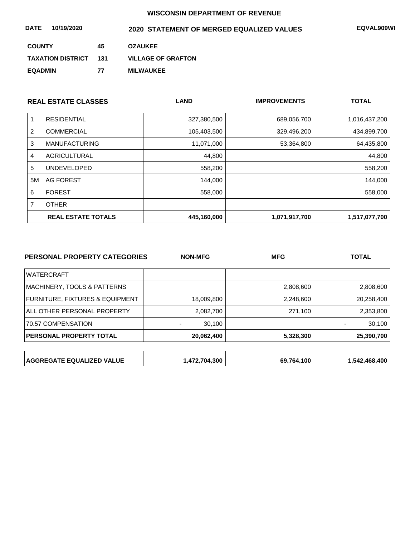| 10/19/2020<br><b>DATE</b> |     | 2020 STATEMENT OF MERGED EQUALIZED VALUES | EQVAL909WI |
|---------------------------|-----|-------------------------------------------|------------|
| <b>COUNTY</b>             | 45  | <b>OZAUKEE</b>                            |            |
| <b>TAXATION DISTRICT</b>  | 131 | <b>VILLAGE OF GRAFTON</b>                 |            |
| <b>EQADMIN</b>            | 77  | <b>MILWAUKEE</b>                          |            |

|    | <b>REAL ESTATE CLASSES</b> | <b>LAND</b> | <b>IMPROVEMENTS</b> | <b>TOTAL</b>  |
|----|----------------------------|-------------|---------------------|---------------|
|    | <b>RESIDENTIAL</b>         | 327,380,500 | 689,056,700         | 1,016,437,200 |
| 2  | <b>COMMERCIAL</b>          | 105,403,500 | 329,496,200         | 434,899,700   |
| 3  | <b>MANUFACTURING</b>       | 11,071,000  | 53,364,800          | 64,435,800    |
| 4  | AGRICULTURAL               | 44,800      |                     | 44,800        |
| 5  | <b>UNDEVELOPED</b>         | 558,200     |                     | 558,200       |
| 5M | AG FOREST                  | 144,000     |                     | 144,000       |
| 6  | <b>FOREST</b>              | 558,000     |                     | 558,000       |
|    | <b>OTHER</b>               |             |                     |               |
|    | <b>REAL ESTATE TOTALS</b>  | 445,160,000 | 1,071,917,700       | 1,517,077,700 |

| PERSONAL PROPERTY CATEGORIES     | <b>NON-MFG</b> | <b>MFG</b> | <b>TOTAL</b>  |
|----------------------------------|----------------|------------|---------------|
| <b>WATERCRAFT</b>                |                |            |               |
| MACHINERY, TOOLS & PATTERNS      |                | 2,808,600  | 2,808,600     |
| FURNITURE, FIXTURES & EQUIPMENT  | 18,009,800     | 2,248,600  | 20,258,400    |
| ALL OTHER PERSONAL PROPERTY      | 2,082,700      | 271,100    | 2,353,800     |
| 70.57 COMPENSATION               | 30,100         |            | 30,100        |
| PERSONAL PROPERTY TOTAL          | 20,062,400     | 5,328,300  | 25,390,700    |
|                                  |                |            |               |
| <b>AGGREGATE EQUALIZED VALUE</b> | 1,472,704,300  | 69,764,100 | 1,542,468,400 |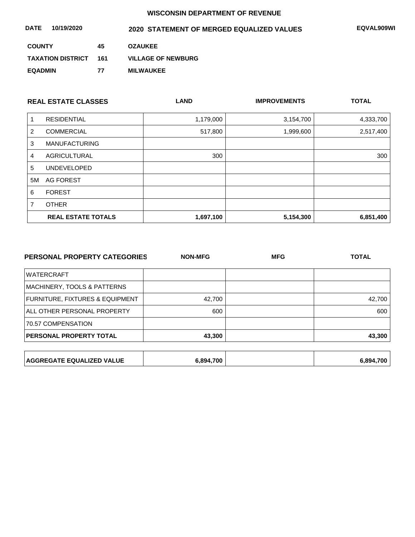| DATE<br>10/19/2020       |     | 2020 STATEMENT OF MERGED EQUALIZED VALUES | <b>EQVAL909WI</b> |
|--------------------------|-----|-------------------------------------------|-------------------|
| <b>COUNTY</b>            | 45  | <b>OZAUKEE</b>                            |                   |
| <b>TAXATION DISTRICT</b> | 161 | <b>VILLAGE OF NEWBURG</b>                 |                   |
| <b>EQADMIN</b>           | 77  | <b>MILWAUKEE</b>                          |                   |

| <b>REAL ESTATE CLASSES</b> |                           | <b>LAND</b> | <b>IMPROVEMENTS</b> | <b>TOTAL</b> |
|----------------------------|---------------------------|-------------|---------------------|--------------|
|                            | <b>RESIDENTIAL</b>        | 1,179,000   | 3,154,700           | 4,333,700    |
| 2                          | <b>COMMERCIAL</b>         | 517,800     | 1,999,600           | 2,517,400    |
| 3                          | <b>MANUFACTURING</b>      |             |                     |              |
| 4                          | <b>AGRICULTURAL</b>       | 300         |                     | 300          |
| 5                          | <b>UNDEVELOPED</b>        |             |                     |              |
| 5M                         | AG FOREST                 |             |                     |              |
| 6                          | <b>FOREST</b>             |             |                     |              |
|                            | <b>OTHER</b>              |             |                     |              |
|                            | <b>REAL ESTATE TOTALS</b> | 1,697,100   | 5,154,300           | 6,851,400    |

| PERSONAL PROPERTY CATEGORIES    | <b>NON-MFG</b> | <b>MFG</b> | <b>TOTAL</b> |
|---------------------------------|----------------|------------|--------------|
| <b>WATERCRAFT</b>               |                |            |              |
| MACHINERY, TOOLS & PATTERNS     |                |            |              |
| FURNITURE, FIXTURES & EQUIPMENT | 42,700         |            | 42,700       |
| ALL OTHER PERSONAL PROPERTY     | 600            |            | 600          |
| 70.57 COMPENSATION              |                |            |              |
| PERSONAL PROPERTY TOTAL         | 43,300         |            | 43,300       |
|                                 |                |            |              |
|                                 |                |            |              |

| <b>AGGREGATE EQUALIZED VALUE</b> | .700      |
|----------------------------------|-----------|
| 894.700.                         | $5.894 -$ |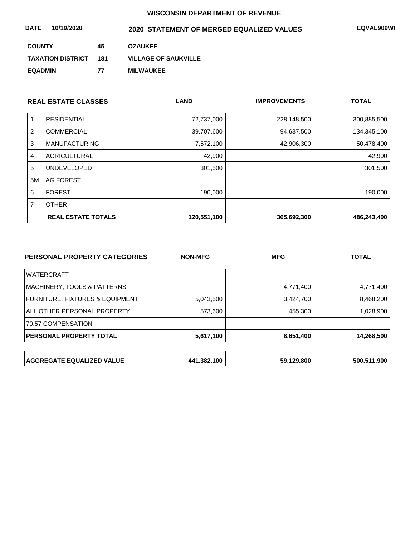| DATE<br>10/19/2020       |     | 2020 STATEMENT OF MERGED EQUALIZED VALUES | <b>EQVAL909WI</b> |
|--------------------------|-----|-------------------------------------------|-------------------|
| <b>COUNTY</b>            | 45  | <b>OZAUKEE</b>                            |                   |
| <b>TAXATION DISTRICT</b> | 181 | <b>VILLAGE OF SAUKVILLE</b>               |                   |
| <b>EQADMIN</b>           | 77  | <b>MILWAUKEE</b>                          |                   |

| <b>REAL ESTATE CLASSES</b> |                           | <b>LAND</b> | <b>IMPROVEMENTS</b> |             |
|----------------------------|---------------------------|-------------|---------------------|-------------|
|                            | <b>RESIDENTIAL</b>        | 72,737,000  | 228,148,500         | 300,885,500 |
| 2                          | <b>COMMERCIAL</b>         | 39,707,600  | 94,637,500          | 134,345,100 |
| 3                          | <b>MANUFACTURING</b>      | 7,572,100   | 42,906,300          | 50,478,400  |
| 4                          | AGRICULTURAL              | 42,900      |                     | 42,900      |
| 5                          | <b>UNDEVELOPED</b>        | 301,500     |                     | 301,500     |
| 5M                         | AG FOREST                 |             |                     |             |
| 6                          | <b>FOREST</b>             | 190,000     |                     | 190,000     |
|                            | <b>OTHER</b>              |             |                     |             |
|                            | <b>REAL ESTATE TOTALS</b> | 120,551,100 | 365,692,300         | 486,243,400 |

| <b>PERSONAL PROPERTY CATEGORIES</b> | <b>NON-MFG</b> | <b>MFG</b> | <b>TOTAL</b> |
|-------------------------------------|----------------|------------|--------------|
| <b>WATERCRAFT</b>                   |                |            |              |
| MACHINERY, TOOLS & PATTERNS         |                | 4,771,400  | 4,771,400    |
| FURNITURE, FIXTURES & EQUIPMENT     | 5,043,500      | 3,424,700  | 8,468,200    |
| ALL OTHER PERSONAL PROPERTY         | 573,600        | 455,300    | 1,028,900    |
| 70.57 COMPENSATION                  |                |            |              |
| PERSONAL PROPERTY TOTAL             | 5,617,100      | 8,651,400  | 14,268,500   |
|                                     |                |            |              |
| <b>AGGREGATE EQUALIZED VALUE</b>    | 441,382,100    | 59,129,800 | 500,511,900  |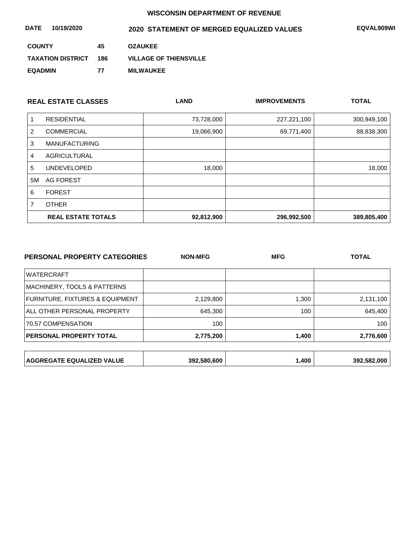| DATE<br>10/19/2020       |     | 2020 STATEMENT OF MERGED EQUALIZED VALUES | <b>EQVAL909WI</b> |
|--------------------------|-----|-------------------------------------------|-------------------|
| <b>COUNTY</b>            | 45  | <b>OZAUKEE</b>                            |                   |
| <b>TAXATION DISTRICT</b> | 186 | <b>VILLAGE OF THIENSVILLE</b>             |                   |
| <b>EQADMIN</b>           | 77  | <b>MILWAUKEE</b>                          |                   |

| <b>REAL ESTATE CLASSES</b> |                           | <b>LAND</b> | <b>IMPROVEMENTS</b> |             |
|----------------------------|---------------------------|-------------|---------------------|-------------|
|                            | <b>RESIDENTIAL</b>        | 73,728,000  | 227,221,100         | 300,949,100 |
| 2                          | <b>COMMERCIAL</b>         | 19,066,900  | 69,771,400          | 88,838,300  |
| 3                          | <b>MANUFACTURING</b>      |             |                     |             |
| 4                          | <b>AGRICULTURAL</b>       |             |                     |             |
| 5                          | <b>UNDEVELOPED</b>        | 18,000      |                     | 18,000      |
| 5M                         | AG FOREST                 |             |                     |             |
| 6                          | <b>FOREST</b>             |             |                     |             |
|                            | <b>OTHER</b>              |             |                     |             |
|                            | <b>REAL ESTATE TOTALS</b> | 92,812,900  | 296,992,500         | 389,805,400 |

| 1,300<br>2,131,100 |
|--------------------|
| 645,400<br>100     |
| 100                |
| 1,400<br>2,776,600 |
|                    |
|                    |

| ,400<br><b>AGGREGATE EQUALIZED VALUE</b><br>392.582.000<br>392.580.600 |
|------------------------------------------------------------------------|
|------------------------------------------------------------------------|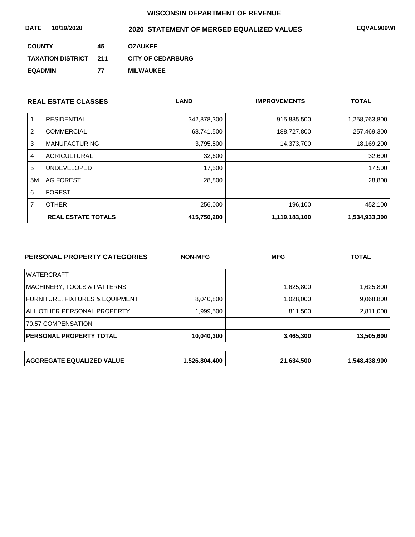| 10/19/2020<br><b>DATE</b> |     | 2020 STATEMENT OF MERGED EQUALIZED VALUES | EQVAL909WI |
|---------------------------|-----|-------------------------------------------|------------|
| <b>COUNTY</b>             | 45  | <b>OZAUKEE</b>                            |            |
| <b>TAXATION DISTRICT</b>  | 211 | <b>CITY OF CEDARBURG</b>                  |            |
| <b>EQADMIN</b>            | 77  | <b>MILWAUKEE</b>                          |            |

| <b>REAL ESTATE CLASSES</b> |                           | <b>LAND</b> | <b>IMPROVEMENTS</b> |               |
|----------------------------|---------------------------|-------------|---------------------|---------------|
|                            | <b>RESIDENTIAL</b>        | 342,878,300 | 915,885,500         | 1,258,763,800 |
| 2                          | <b>COMMERCIAL</b>         | 68,741,500  | 188,727,800         | 257,469,300   |
| 3                          | <b>MANUFACTURING</b>      | 3,795,500   | 14,373,700          | 18,169,200    |
| 4                          | AGRICULTURAL              | 32,600      |                     | 32,600        |
| 5                          | <b>UNDEVELOPED</b>        | 17,500      |                     | 17,500        |
| 5M                         | AG FOREST                 | 28,800      |                     | 28,800        |
| 6                          | <b>FOREST</b>             |             |                     |               |
| 7                          | <b>OTHER</b>              | 256,000     | 196,100             | 452,100       |
|                            | <b>REAL ESTATE TOTALS</b> | 415,750,200 | 1,119,183,100       | 1,534,933,300 |

| PERSONAL PROPERTY CATEGORIES     | <b>NON-MFG</b> | <b>MFG</b> | <b>TOTAL</b>  |  |
|----------------------------------|----------------|------------|---------------|--|
| <b>WATERCRAFT</b>                |                |            |               |  |
| MACHINERY, TOOLS & PATTERNS      |                | 1,625,800  | 1,625,800     |  |
| FURNITURE, FIXTURES & EQUIPMENT  | 8,040,800      | 1,028,000  | 9,068,800     |  |
| ALL OTHER PERSONAL PROPERTY      | 1,999,500      | 811,500    | 2,811,000     |  |
| 70.57 COMPENSATION               |                |            |               |  |
| PERSONAL PROPERTY TOTAL          | 10,040,300     | 3,465,300  | 13,505,600    |  |
|                                  |                |            |               |  |
| <b>AGGREGATE EQUALIZED VALUE</b> | 1,526,804,400  | 21,634,500 | 1,548,438,900 |  |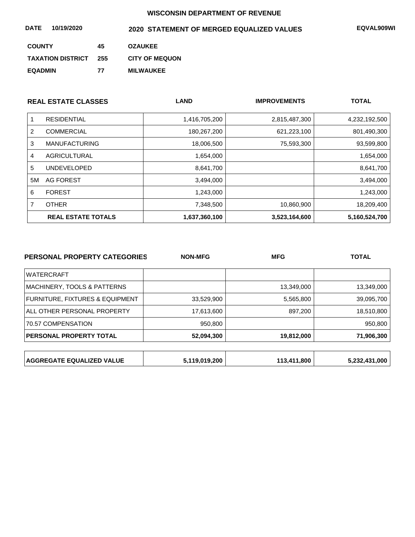| DATE<br>10/19/2020       |     | 2020 STATEMENT OF MERGED EQUALIZED VALUES | <b>EQVAL909WI</b> |
|--------------------------|-----|-------------------------------------------|-------------------|
| <b>COUNTY</b>            | 45  | <b>OZAUKEE</b>                            |                   |
| <b>TAXATION DISTRICT</b> | 255 | <b>CITY OF MEQUON</b>                     |                   |
| <b>EQADMIN</b>           | 77  | <b>MILWAUKEE</b>                          |                   |

|    | <b>REAL ESTATE CLASSES</b> | <b>LAND</b>   | <b>IMPROVEMENTS</b> |               |
|----|----------------------------|---------------|---------------------|---------------|
|    | <b>RESIDENTIAL</b>         | 1,416,705,200 | 2,815,487,300       | 4,232,192,500 |
| 2  | <b>COMMERCIAL</b>          | 180,267,200   | 621,223,100         | 801,490,300   |
| 3  | <b>MANUFACTURING</b>       | 18,006,500    | 75,593,300          | 93,599,800    |
| 4  | AGRICULTURAL               | 1,654,000     |                     | 1,654,000     |
| 5  | <b>UNDEVELOPED</b>         | 8,641,700     |                     | 8,641,700     |
| 5M | AG FOREST                  | 3,494,000     |                     | 3,494,000     |
| 6  | <b>FOREST</b>              | 1,243,000     |                     | 1,243,000     |
|    | <b>OTHER</b>               | 7,348,500     | 10,860,900          | 18,209,400    |
|    | <b>REAL ESTATE TOTALS</b>  | 1,637,360,100 | 3,523,164,600       | 5,160,524,700 |

| PERSONAL PROPERTY CATEGORIES     | <b>NON-MFG</b> | <b>MFG</b>  | <b>TOTAL</b>  |
|----------------------------------|----------------|-------------|---------------|
| <b>WATERCRAFT</b>                |                |             |               |
| MACHINERY, TOOLS & PATTERNS      |                | 13,349,000  | 13,349,000    |
| FURNITURE, FIXTURES & EQUIPMENT  | 33,529,900     | 5,565,800   | 39,095,700    |
| ALL OTHER PERSONAL PROPERTY      | 17,613,600     | 897,200     | 18,510,800    |
| 70.57 COMPENSATION               | 950,800        |             | 950,800       |
| <b>PERSONAL PROPERTY TOTAL</b>   | 52,094,300     | 19,812,000  | 71,906,300    |
|                                  |                |             |               |
| <b>AGGREGATE EQUALIZED VALUE</b> | 5,119,019,200  | 113,411,800 | 5,232,431,000 |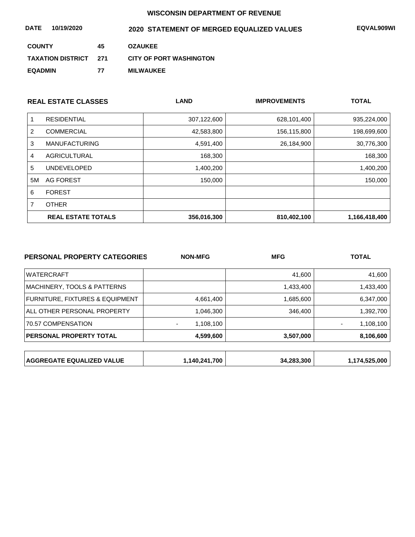| DATE<br>10/19/2020           |    | 2020 STATEMENT OF MERGED EQUALIZED VALUES | <b>EQVAL909WI</b> |
|------------------------------|----|-------------------------------------------|-------------------|
| <b>COUNTY</b>                | 45 | <b>OZAUKEE</b>                            |                   |
| <b>TAXATION DISTRICT 271</b> |    | <b>CITY OF PORT WASHINGTON</b>            |                   |
| <b>EQADMIN</b>               | 77 | <b>MILWAUKEE</b>                          |                   |

| <b>REAL ESTATE CLASSES</b> |                           | <b>LAND</b> | <b>IMPROVEMENTS</b> | <b>TOTAL</b>  |
|----------------------------|---------------------------|-------------|---------------------|---------------|
|                            | <b>RESIDENTIAL</b>        | 307,122,600 | 628,101,400         | 935,224,000   |
| 2                          | <b>COMMERCIAL</b>         | 42,583,800  | 156,115,800         | 198,699,600   |
| 3                          | <b>MANUFACTURING</b>      | 4,591,400   | 26,184,900          | 30,776,300    |
| 4                          | AGRICULTURAL              | 168,300     |                     | 168,300       |
| 5                          | <b>UNDEVELOPED</b>        | 1,400,200   |                     | 1,400,200     |
| 5M                         | AG FOREST                 | 150,000     |                     | 150,000       |
| 6                          | <b>FOREST</b>             |             |                     |               |
|                            | <b>OTHER</b>              |             |                     |               |
|                            | <b>REAL ESTATE TOTALS</b> | 356,016,300 | 810,402,100         | 1,166,418,400 |

| <b>PERSONAL PROPERTY CATEGORIES</b> | <b>NON-MFG</b> | <b>MFG</b> | <b>TOTAL</b>  |  |
|-------------------------------------|----------------|------------|---------------|--|
| <b>WATERCRAFT</b>                   |                | 41,600     | 41,600        |  |
| MACHINERY, TOOLS & PATTERNS         |                | 1,433,400  | 1,433,400     |  |
| FURNITURE, FIXTURES & EQUIPMENT     | 4,661,400      | 1,685,600  | 6,347,000     |  |
| ALL OTHER PERSONAL PROPERTY         | 1,046,300      | 346,400    | 1,392,700     |  |
| 70.57 COMPENSATION                  | 1,108,100      |            | 1,108,100     |  |
| PERSONAL PROPERTY TOTAL             | 4,599,600      | 3,507,000  | 8,106,600     |  |
|                                     |                |            |               |  |
| <b>AGGREGATE EQUALIZED VALUE</b>    | 1,140,241,700  | 34,283,300 | 1,174,525,000 |  |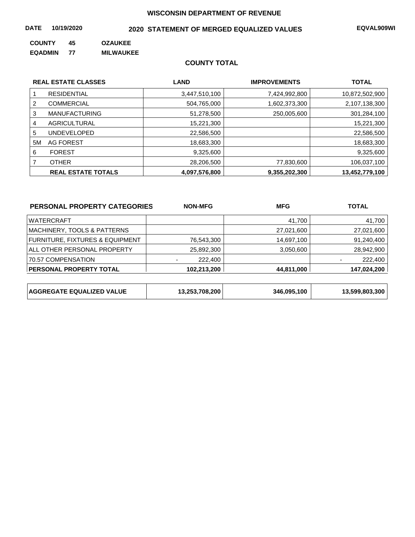#### **DATE 10/19/2020 EQVAL909WI 2020 STATEMENT OF MERGED EQUALIZED VALUES**

**COUNTY 45 OZAUKEE** 

**EQADMIN 77 MILWAUKEE**

#### **COUNTY TOTAL**

| <b>REAL ESTATE CLASSES</b> |                           | <b>LAND</b>   | <b>IMPROVEMENTS</b> | <b>TOTAL</b>   |  |
|----------------------------|---------------------------|---------------|---------------------|----------------|--|
|                            | <b>RESIDENTIAL</b>        | 3,447,510,100 | 7,424,992,800       | 10,872,502,900 |  |
| 2                          | <b>COMMERCIAL</b>         | 504,765,000   | 1,602,373,300       | 2,107,138,300  |  |
| 3                          | <b>MANUFACTURING</b>      | 51,278,500    | 250,005,600         | 301,284,100    |  |
| 4                          | AGRICULTURAL              | 15,221,300    |                     | 15,221,300     |  |
| 5                          | <b>UNDEVELOPED</b>        | 22,586,500    |                     | 22,586,500     |  |
| 5M                         | AG FOREST                 | 18,683,300    |                     | 18,683,300     |  |
| 6                          | <b>FOREST</b>             | 9,325,600     |                     | 9,325,600      |  |
|                            | <b>OTHER</b>              | 28,206,500    | 77,830,600          | 106,037,100    |  |
|                            | <b>REAL ESTATE TOTALS</b> | 4,097,576,800 | 9,355,202,300       | 13,452,779,100 |  |

| PERSONAL PROPERTY CATEGORIES               | <b>NON-MFG</b> | <b>MFG</b> | <b>TOTAL</b> |  |
|--------------------------------------------|----------------|------------|--------------|--|
| <b>WATERCRAFT</b>                          |                | 41,700     | 41,700       |  |
| MACHINERY, TOOLS & PATTERNS                |                | 27,021,600 | 27,021,600   |  |
| <b>FURNITURE, FIXTURES &amp; EQUIPMENT</b> | 76,543,300     | 14,697,100 | 91,240,400   |  |
| ALL OTHER PERSONAL PROPERTY                | 25,892,300     | 3,050,600  | 28,942,900   |  |
| 70.57 COMPENSATION                         | 222,400        |            | 222,400      |  |
| <b>PERSONAL PROPERTY TOTAL</b>             | 102.213.200    | 44,811,000 | 147.024.200  |  |

| <b>AGGREGATE EQUALIZED VALUE</b> | 13,253,708,200 | 346,095,100 | 13,599,803,300 |
|----------------------------------|----------------|-------------|----------------|
|----------------------------------|----------------|-------------|----------------|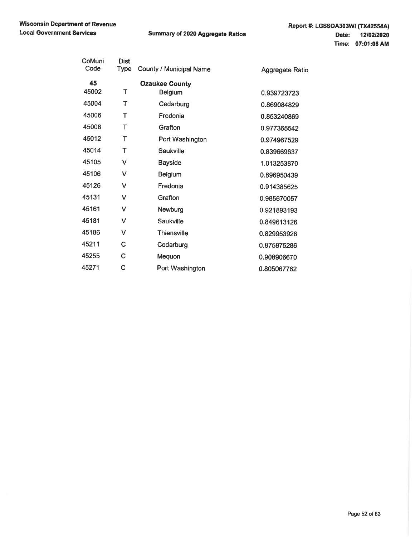| CoMuni<br>Code | <b>Dist</b><br>Type | County / Municipal Name | Aggregate Ratio |
|----------------|---------------------|-------------------------|-----------------|
| 45             |                     | <b>Ozaukee County</b>   |                 |
| 45002          | Т                   | <b>Belgium</b>          | 0.939723723     |
| 45004          | Т                   | Cedarburg               | 0.869084829     |
| 45006          | т                   | Fredonia                | 0.853240869     |
| 45008          | Т                   | Grafton                 | 0.977365542     |
| 45012          | т                   | Port Washington         | 0.974967529     |
| 45014          | т                   | Saukville               | 0.839669637     |
| 45105          | v                   | <b>Bayside</b>          | 1.013253870     |
| 45106          | v                   | <b>Belgium</b>          | 0.896950439     |
| 45126          | v                   | Fredonia                | 0.914385625     |
| 45131          | v                   | Grafton                 | 0.985670057     |
| 45161          | v                   | Newburg                 | 0.921893193     |
| 45181          | v                   | Saukville               | 0.849613126     |
| 45186          | v                   | <b>Thiensville</b>      | 0.829953928     |
| 45211          | C                   | Cedarburg               | 0.875875286     |
| 45255          | C                   | Mequon                  | 0.908906670     |
| 45271          | C                   | Port Washington         | 0.805067762     |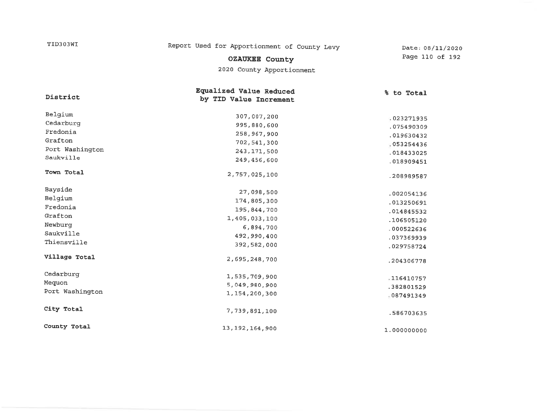| TID303WI        | Report Used for Apportionment of County Levy      | Date: 08/11/2020         |  |
|-----------------|---------------------------------------------------|--------------------------|--|
|                 | <b>OZAUKEE County</b>                             | Page 110 of 192          |  |
|                 | 2020 County Apportionment                         |                          |  |
| District        | Equalized Value Reduced<br>by TID Value Increment | % to Total               |  |
| Belgium         | 307,007,200                                       | 023271935                |  |
| Cedarburg       | 995,880,600                                       |                          |  |
| Fredonia        | 258,967,900                                       | .075490309               |  |
| Grafton         | 702,541,300                                       | .019630432               |  |
| Port Washington | 243, 171, 500                                     | 053254436                |  |
| Saukville       | 249,456,600                                       | .018433025<br>.018909451 |  |
| Town Total      | 2,757,025,100                                     | .208989587               |  |
| Bayside         | 27,098,500                                        | .002054136               |  |
| Belgium         | 174,805,300                                       | .013250691               |  |
| Fredonia        | 195, 844, 700                                     | .014845532               |  |
| Grafton         | 1,405,033,100                                     | .106505120               |  |
| Newburg         | 6,894,700                                         | .000522636               |  |
| Saukville       | 492,990,400                                       | .037369939               |  |
| Thiensville     | 392,582,000                                       | .029758724               |  |
| Village Total   | 2,695,248,700                                     | .204306778               |  |
| Cedarburg       | 1,535,709,900                                     | .116410757               |  |
| Mequon          | 5,049,980,900                                     | .382801529               |  |
| Port Washington | 1,154,200,300                                     | .087491349               |  |
| City Total      | 7,739,891,100                                     | .586703635               |  |
| County Total    | 13, 192, 164, 900                                 | 1.000000000              |  |